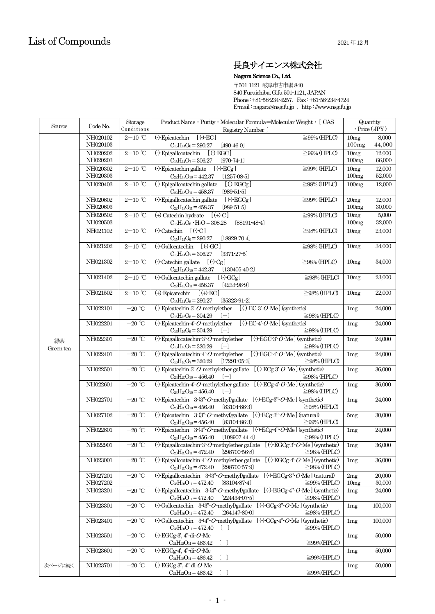# 長良サイエンス株式会社

Nagara Science Co., Ltd.

〒501-1121 岐阜市古市場840 840 Furuichiba, Gifu 501-1121, JAPAN Phone : +81-58-234-4257、Fax : +81-58-234-4724 E-mail : nagara@nsgifu.jp 、http : //www.nsgifu.jp

| Source          | Code No.             | Storage<br>Conditions                 | Product Name · Purity · Molecular Formula=Molecular Weight · [ CAS<br>Registry Number ]                                                                                                              | Quantity<br>$\cdot$ Price (JPY) |                  |
|-----------------|----------------------|---------------------------------------|------------------------------------------------------------------------------------------------------------------------------------------------------------------------------------------------------|---------------------------------|------------------|
|                 | NH020102<br>NH020103 | $2\mathrm{-}10\ ^{\circ}\mathrm{C}$   | $\left(\cdot\right)$ -Epicatechin $\left[\left(\cdot\right)$ -EC]<br>$\geq$ 99% (HPLC)<br>$C_{15}H_{14}O_6 = 290.27$<br>$(490-46-0)$                                                                 | 10 <sub>mg</sub><br>100mg       | 8,000<br>44,000  |
|                 | NH020202             | $2\mathrm{-}10\ ^{\circ}\mathrm{C}$   | $\left(\cdot\right)$ -Epigallocatechin $\left[\left(\cdot\right)$ -EGC<br>$\geq$ 99% (HPLC)                                                                                                          | 10 <sub>mg</sub>                | 12,000           |
|                 | NH020203             |                                       | $C_{15}H_{14}O_7 = 306.27$<br>$[970-74-1]$                                                                                                                                                           | 100mg                           | 66,000           |
|                 | NH020302<br>NH020303 | $2\mathrm{-}10\ ^{\circ}\mathrm{C}$   | $\left(\cdot\right)$ Epicatechin gallate<br>$[$ (-)- $ECg$ ]<br>$\geq$ 99% (HPLC)<br>$C_{22}H_{18}O_{10} = 442.37$<br>$(1257-08-5)$                                                                  | 10mg<br>100mg                   | 12.000<br>52,000 |
|                 | NH020403             | $2-10$ <sup>°</sup> C                 | (-)-Epigallocatechin gallate<br>$[$ (-)- $EGCg$ ]<br>$\geq$ 98% (HPLC)                                                                                                                               | 100mg                           | 12,000           |
|                 |                      |                                       | $(989 - 51 - 5)$<br>$C_{22}H_{18}O_{11} = 458.37$                                                                                                                                                    |                                 |                  |
|                 | NH020602<br>NH020603 | $2\mathrm{-}10\ ^{\circ}\mathrm{C}$   | $\left(\cdot\right)$ -Epigallocatechin gallate<br>$[$ (-)- $EGCg$ ]<br>$\geq$ 99% (HPLC)<br>$C_2H_{18}O_{11} = 458.37$<br>$(989-51-5)$                                                               | 20mg<br>100mg                   | 12,000<br>30,000 |
|                 | NH020502             | $2\mathrm{-}10\ ^{\circ}\mathrm{C}$   | (+)-Catechin hydrate<br>$[ (+)-C]$<br>$\geq$ 99% (HPLC)                                                                                                                                              | 10mg                            | 5,000            |
|                 | NH020503             |                                       | $C_{15}H_{14}O_6 \cdot H_2O = 308.28$<br>$[88191-48-4]$                                                                                                                                              | 100mg                           | 32,000           |
|                 | NH021102             | $2\mathrm{-}10\ ^{\circ}\mathrm{C}$   | $(\cdot)$ -Catechin $[ (\cdot)$ -C]<br>$\geq 98\%$ (HPLC)<br>$C_{15}H_{14}O_6 = 290.27$<br>$[18829-70-4]$                                                                                            | 10mg                            | 23,000           |
|                 | NH021202             | $2-10$ °C                             | $\Theta$ Gallocatechin $\Theta$ GC<br>$\geq$ 98% (HPLC)                                                                                                                                              | 10mg                            | 34,000           |
|                 |                      |                                       | $C_{15}H_{14}O_7 = 306.27$<br>$[3371-27-5]$                                                                                                                                                          |                                 |                  |
|                 | NH021302             | $2\mathrm{-}10\ ^{\circ}\!\mathrm{C}$ | $\left(\cdot\right)$ -Catechin gallate $\left[\left(\cdot\right)$ -Cg<br>$\geq$ 98% (HPLC)<br>$[13040540-2]$                                                                                         | 10mg                            | 34,000           |
|                 | NH021402             | $2\mathrm{-}10\ ^{\circ}\mathrm{C}$   | $C_{22}H_{18}O_{10} = 442.37$<br>(-)-Gallocatechin gallate<br>$[ ( \cdot )$ -GCg]<br>$\geq$ 98% (HPLC)                                                                                               | 10mg                            | 23,000           |
|                 |                      |                                       | $C_{22}H_{18}O_{11} = 458.37$<br>$(4233-96-9)$                                                                                                                                                       |                                 |                  |
|                 | NH021502             | $2\mathrm{-}10\ ^{\circ}\mathrm{C}$   | $(+)$ -Epicatechin $[ (+)$ -EC]<br>$\geq$ 98% (HPLC)                                                                                                                                                 | 10 <sub>mg</sub>                | 22,000           |
|                 | NH022101             | $-20$ °C                              | $C_{15}H_{14}O_6 = 290.27$<br>$(35323-91-2)$<br>$\left(\cdot\right)$ -Epicatechin-3-O-methylether<br>$[ ( \cdot )$ -EC-3'-O-Me] (synthetic)                                                          | 1mg                             | 24,000           |
|                 |                      |                                       | $C_{16}H_{16}O_6 = 304.29$<br>$[-]$<br>$\geq$ 98% (HPLC)                                                                                                                                             |                                 |                  |
|                 | NH022201             | $-20$ °C                              | $[ ( \cdot )$ -EC-4'-O-Me] (synthetic)<br>$\left(\cdot\right)$ -Epicatechin-4'-O-methylether<br>$C_{16}H_{16}O_6 = 304.29$<br>$\left[ -\right]$<br>$\geq$ 98% (HPLC)                                 | 1mg                             | 24,000           |
| 緑茶<br>Green tea | NH022301             | $-20$ °C                              | $[$ (-)-EGC-3'- $O$ -Me] (synthetic)<br>$\left(\cdot\right)$ -Epigallocatechin-3-O-methylether<br>$\geq$ 98% (HPLC)<br>$C_{16}H_{16}O_7 = 320.29$<br>$[-]$                                           | 1mg                             | 24,000           |
|                 | NH022401             | $-20$ °C                              | $[ ( \cdot )$ -EGC-4'-O-Me] (synthetic)<br>$\left(\cdot\right)$ -Epigallocatechin-4'-O-methylether                                                                                                   | 1mg                             | 24,000           |
|                 |                      |                                       | [17291053]<br>$C_{16}H_{16}O_7 = 320.29$<br>$\geq$ 98% (HPLC)                                                                                                                                        |                                 |                  |
|                 | NH022501             | $-20$ °C                              | (-)-Epicatechin-3-O-methylether gallate $[(\cdot)$ -ECg-3-O-Me] (synthetic)<br>$\geq$ 98% (HPLC)<br>$C_{23}H_{20}O_{10} = 456.40$<br>$[-]$                                                           | 1mg                             | 36,000           |
|                 | NH022601             | $-20$ $^{\circ}\!{\rm C}$             | (-)-Epicatechin-4'-O-methylether gallate $[(\cdot)$ -ECg-4'-O-Me] (synthetic)<br>$\geq$ 98% (HPLC)<br>$C_{23}H_{20}O_{10} = 456.40$<br>$(-)$                                                         | 1mg                             | 36,000           |
|                 | NH022701             | $-20$ °C                              | (-)-Epicatechin $3-(3^{\circ}\text{-}O$ -methyl)gallate $[(\cdot)\text{-ECg-}3^{\circ}\text{-}O$ -Me] (synthetic)<br>$\geq$ 98% (HPLC)<br>$C_{23}H_{20}O_{10} = 456.40$<br>$[83104-86-3]$            | 1mg                             | 24,000           |
|                 | NH027102             | $-20$ °C                              | (-)-Epicatechin $3-(3 - O$ -methyl)gallate $[ ( \cdot )$ -ECg-3 $\cdot O$ -Me] (natural)                                                                                                             | 5mg                             | 30,000           |
|                 | NH022801             | $-20$ °C                              | $[8310486-3]$<br>$C_{23}H_{20}O_{10} = 456.40$<br>$\geq$ 99% (HPLC)<br>(-)-Epicatechin $3-(4 - O$ -methyl)gallate $[(-)$ -ECg-4 $- O$ -Me] (synthetic)                                               | 1mg                             | 24,000           |
|                 |                      |                                       | $C_{23}H_{20}O_{10} = 456.40$ [108907-44-4]<br>$\geq$ 98% (HPLC)                                                                                                                                     |                                 |                  |
|                 | NH022901             | $-20$ °C                              | $\left( \cdot \right)$ -Epigallocatechin-3-O-methylether gallate $\left[ (\cdot)$ -EGCg-3-O-Me] (synthetic) $\left[ \right.$ 1mg<br>$C_{23}H_{20}O_{11} = 472.40$ [298700-56-8]<br>$\geq$ 98% (HPLC) |                                 | 36,000           |
|                 | NH023001             | $-20$ $^{\circ}\!{\rm C}$             | (-)-Epigallocatechin-4'-O-methylether gallate $[(\cdot)$ -EGCg-4'-O-Me] (synthetic)<br>$C_{23}H_{20}O_{11} = 472.40$<br>$(298700-57-9)$<br>$\geq$ 98% (HPLC)                                         | 1mg                             | 36,000           |
|                 | NH027201             | $-20$ °C                              | (-)-Epigallocatechin $3\cdot(3^\circ O \cdot \text{methyl)gallate}$ [(-)-EGCg-3"-O-Me] (natural)                                                                                                     | 2mg                             | 20,000           |
|                 | NH027202             |                                       | $C_{23}H_{20}O_{11} = 472.40$<br>$[83104 - 87 - 4]$<br>$\geq$ 99% (HPLC)                                                                                                                             | 10mg                            | 30,000           |
|                 | NH023201             | $-20$ $^{\circ}\!{\rm C}$             | (-)-Epigallocatechin $3-(4 - O$ -methyl)gallate $[(-)$ -EGCg-4 $- O$ -Me] (synthetic)<br>$[224434-07-5]$<br>$\geq$ 98% (HPLC)<br>$C_{23}H_{20}O_{11} = 472.40$                                       | 1mg                             | 24,000           |
|                 | NH023301             | $-20$ °C                              | $[ ( \cdot )$ GCg-3" O Me] (synthetic)<br>$\Theta$ -Gallocatechin 3- $(3^{\circ}\text{-} O$ -methyl)gallate<br>$C_{23}H_{20}O_{11} = 472.40$<br>$[264147-80-0]$<br>$\geq$ 98% (HPLC)                 | 1mg                             | 100,000          |
|                 | NH023401             | $-20$ °C                              | $[$ (-)-GCg-4"- $O$ -Me] (synthetic)<br>$\left(\cdot\right)$ -Gallocatechin 3- $\left(4\right)$ -O-methyl)gallate                                                                                    | 1mg                             | 100,000          |
|                 | NH023501             | $-20$ °C                              | $\left[ \begin{array}{c} \end{array} \right]$<br>$\geq$ 99% (HPLC)<br>$C_{23}H_{20}O_{11} = 472.40$<br>$\left(\cdot\right)$ -EGCg-3', 4"-di- $O$ -Me                                                 | 1mg                             | 50,000           |
|                 |                      |                                       | $C_{24}H_{22}O_{11} = 486.42$<br>$\geq$ 99%(HPLC)                                                                                                                                                    |                                 |                  |
|                 | NH023601             | $-20$ $^{\circ}\!{\rm C}$             | $\left(\cdot\right)$ -EGCg-4', 4"-di- $O$ -Me<br>$\geq$ 99%(HPLC)<br>$C_{24}H_{22}O_{11} = 486.42$                                                                                                   | 1mg                             | 50,000           |
| 次ページに続く         | NH023701             | $-20$ °C                              | $\Theta$ -EGCg-3", 4"-di- $O$ -Me                                                                                                                                                                    | 1mg                             | 50,000           |
|                 |                      |                                       | $\geq$ 99%(HPLC)<br>$C_{24}H_{22}O_{11} = 486.42$                                                                                                                                                    |                                 |                  |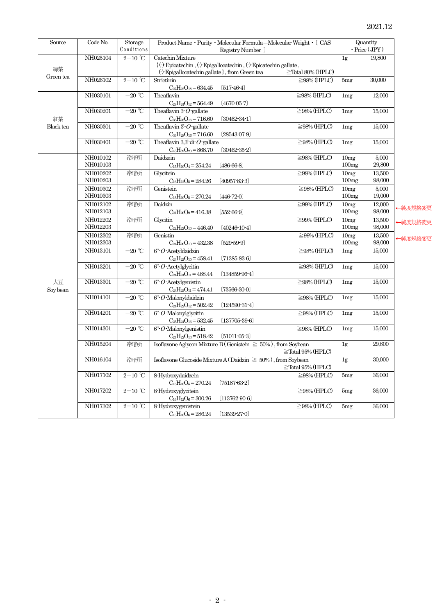| Source           | Code No.             | Storage                                | Product Name · Purity · Molecular Formula=Molecular Weight · [ CAS                   |                                                |                         | Quantity       |                     |         |
|------------------|----------------------|----------------------------------------|--------------------------------------------------------------------------------------|------------------------------------------------|-------------------------|----------------|---------------------|---------|
|                  |                      | Conditions                             |                                                                                      | Registry Number ]                              |                         |                | $\cdot$ Price (JPY) |         |
|                  | NH025104             | $2\text{--}10\text{ }^{\circ}\text{C}$ | Catechin Mixture<br>{(-)-Epicatechin, (-)-Epigallocatechin, (-)-Epicatechin gallate, |                                                |                         | 1g             | 19,800              |         |
| 緑茶               |                      |                                        | $\langle \cdot \rangle$ -Epigallocatechin gallate $\rangle$ , from Green tea         |                                                | $\geq$ Total 80% (HPLC) |                |                     |         |
| Green tea        | NH026102             | $2-10$ °C                              | Strictinin                                                                           |                                                | $\geq$ 98% (HPLC)       | 5mg            | 30,000              |         |
|                  |                      |                                        | $C_{27}H_{22}O_{18}=634.45$                                                          | $[517-46-4]$                                   |                         |                |                     |         |
|                  | NH030101             | $-20$ °C                               | Theaflavin                                                                           |                                                | $\geq$ 98% (HPLC)       | 1mg            | 12,000              |         |
|                  |                      |                                        | $C_{29}H_{24}O_{12}=564.49$                                                          | $(4670-05-7)$                                  |                         |                |                     |         |
|                  | NH030201             | $-20$ °C                               | Theaflavin $3 \cdot O$ gallate                                                       |                                                | $\geq$ 98% (HPLC)       | 1mg            | 15,000              |         |
| 紅茶               |                      |                                        | $C_{36}H_{28}O_{16}=716.60$                                                          | $[30462-34-1]$                                 |                         |                |                     |         |
| <b>Black</b> tea | NH030301             | $-20$ °C                               | Theaflavin $3 - O$ -gallate                                                          |                                                | $\geq$ 98% (HPLC)       | 1mg            | 15,000              |         |
|                  |                      |                                        | $C_{36}H_{28}O_{16}=716.60$                                                          | $[28543-07-9]$                                 |                         |                |                     |         |
|                  | NH030401             | $-20$ °C                               | Theaflavin 3,3'-di- $O$ -gallate                                                     |                                                | $\geq$ 98% (HPLC)       | 1mg            | 15,000              |         |
|                  |                      |                                        | $C_{43}H_{32}O_{20} = 868.70$                                                        | $\left[ 30462\hbox{-}35\hbox{-}2 \right]$      |                         |                |                     |         |
|                  | NH010102             | 冷暗所                                    | Daidzein                                                                             |                                                | $\geq$ 98% (HPLC)       | 10mg           | 5.000               |         |
|                  | NH010103             |                                        | $C_{15}H_{10}O_4 = 254.24$                                                           | $(486-66-8)$                                   |                         | 100mg          | 29,800              |         |
|                  | NH010202             | 冷暗所                                    | Glycitein                                                                            |                                                | $\geq$ 98% (HPLC)       | 10mg           | 13,500              |         |
|                  | NH010203             |                                        | $C_{16}H_{12}O_5 = 284.26$                                                           | $(40957 - 83 - 3)$                             |                         | 100mg          | 98,000              |         |
|                  | NH010302             | 冷暗所                                    | Genistein                                                                            |                                                | $\geq$ 98% (HPLC)       | 10mg           | 5.000               |         |
|                  | NH010303             |                                        | $C_{15}H_{10}O_5 = 270.24$                                                           | $(446 - 72 - 0)$                               |                         | 100mg          | 19,000              |         |
|                  | NH012102             | 冷暗所                                    | Daidzin                                                                              |                                                | $\geq$ 99% (HPLC)       | 10mg           | 12,000              | ←純度規格変更 |
|                  | NH012103             |                                        | $C_{21}H_{20}O_9 = 416.38$                                                           | $(552-66-9)$                                   |                         | 100mg          | 98,000              |         |
|                  | NH012202<br>NH012203 | 冷暗所                                    | Glycitin                                                                             |                                                | $\geq$ 99% (HPLC)       | 10mg<br>100mg  | 13,500<br>98,000    | ←純度規格変更 |
|                  | NH012302             |                                        | $C_{22}H_{22}O_{10} = 446.40$<br>Genistin                                            | $(40246-10-4)$                                 | $\geq$ 99% (HPLC)       |                |                     |         |
|                  | NH012303             | 冷暗所                                    | $C_{21}H_{20}O_{10} = 432.38$                                                        | $(529 - 59 - 9)$                               |                         | 10mg<br>100mg  | 13,500<br>98,000    | ←純度規格変更 |
|                  | NH013101             | $-20$ °C                               | $6" O$ -Acetyldaidzin                                                                |                                                | $\geq$ 98% (HPLC)       | 1mg            | 15,000              |         |
|                  |                      |                                        | $C_{23}H_{22}O_{10} = 458.41$                                                        | $(71385 - 83 - 6)$                             |                         |                |                     |         |
|                  | NH013201             | $-20$ °C                               | $6°$ - $O$ -Acetylglycitin                                                           |                                                | $\geq$ 98% (HPLC)       | 1mg            | 15,000              |         |
|                  |                      |                                        | $C_{24}H_{24}O_{11} = 488.44$                                                        | $\left( 134859\!\cdot\! 96\!\cdot\! 4 \right)$ |                         |                |                     |         |
| 大豆               | NH013301             | $-20$ °C                               | $6"$ - $O$ -Acetylgenistin                                                           |                                                | $\geq$ 98% (HPLC)       | 1mg            | 15,000              |         |
| Soy bean         |                      |                                        | $C_{23}H_{22}O_{11} = 474.41$                                                        | $[73566-30-0]$                                 |                         |                |                     |         |
|                  | NH014101             | $-20$ °C                               | $6"$ - $O$ -Malonyldaidzin                                                           |                                                | $\geq$ 98% (HPLC)       | 1mg            | 15,000              |         |
|                  |                      |                                        | $C_{24}H_{22}O_{12}=502.42$                                                          | $[124590-31-4]$                                |                         |                |                     |         |
|                  | NH014201             | $-20$ °C                               | $6 - O$ -Malonylglycitin                                                             |                                                | $\geq$ 98% (HPLC)       | 1mg            | 15,000              |         |
|                  |                      |                                        | $C_{25}H_{24}O_{13}=532.45$                                                          | $[137705-39-6]$                                |                         |                |                     |         |
|                  | NH014301             | $-20$ °C                               | $6°$ O Malonylgenistin                                                               |                                                | $\geq$ 98% (HPLC)       | 1mg            | 15,000              |         |
|                  |                      |                                        | $C_{24}H_{22}O_{13}=518.42$                                                          | [51011053]                                     |                         |                |                     |         |
|                  | NH015204             | 冷暗所                                    | Isoflavone Aglycon Mixture B (Genistein $\geq 50\%$ ), from Soybean                  |                                                |                         | 1g             | 29,800              |         |
|                  |                      |                                        |                                                                                      |                                                | $\ge$ Total 95% (HPLC)  |                |                     |         |
|                  | NH016104             | 冷暗所                                    | Isoflavone Glucoside Mixture A (Daidzin $\geq 50\%$ ), from Soybean                  |                                                |                         | 1 <sub>g</sub> | 30,000              |         |
|                  |                      |                                        |                                                                                      |                                                | $\ge$ Total 95% (HPLC)  |                |                     |         |
|                  | NH017102             | $2\mathrm{-}10\ ^{\circ}\mathrm{C}$    | 8-Hydroxydaidzein                                                                    |                                                | $\geq$ 98% (HPLC)       | $5\mathrm{mg}$ | 36,000              |         |
|                  |                      |                                        | $C_{15}H_{10}O_5 = 270.24$                                                           | $(75187 - 63 - 2)$                             |                         |                |                     |         |
|                  | NH017202             | $2\mathrm{-}10\ ^{\circ}\mathrm{C}$    | 8-Hydroxyglycitein                                                                   | $(113762 - 90 - 6)$                            | $\geq$ 98% (HPLC)       | 5mg            | 36,000              |         |
|                  | NH017302             | $2-10$ ℃                               | $C_{16}H_{12}O_6 = 300.26$<br>8-Hydroxygenistein                                     |                                                | $\geq$ 98% (HPLC)       | 5mg            | 36,000              |         |
|                  |                      |                                        | $C_{15}H_{10}O_6 = 286.24$                                                           | $(13539-27-0)$                                 |                         |                |                     |         |
|                  |                      |                                        |                                                                                      |                                                |                         |                |                     |         |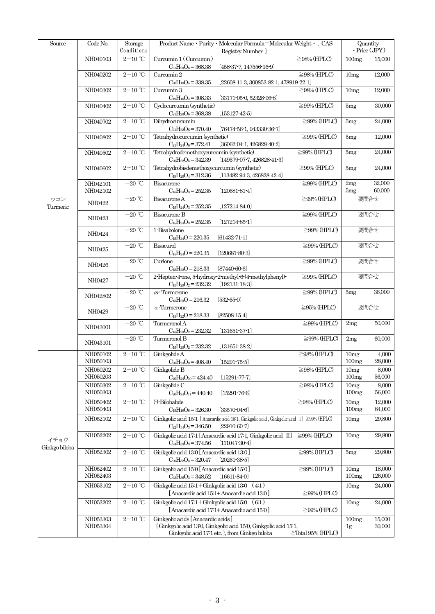| Source        | Code No.             | Storage                                | Product Name • Purity • Molecular Formula=Molecular Weight • $($ CAS                                       |                         | Quantity<br>$\cdot$ Price (JPY) |                  |
|---------------|----------------------|----------------------------------------|------------------------------------------------------------------------------------------------------------|-------------------------|---------------------------------|------------------|
|               |                      | Conditions                             | Registry Number )                                                                                          |                         |                                 |                  |
|               | NH040103             | $2\text{--}10\text{ }^{\circ}\text{C}$ | Curcumin 1 (Curcumin)<br>$C_{21}H_{20}O_6 = 368.38$<br>$[458-37-7, 147556-16-9]$                           | $\geq$ 98% (HPLC)       | 100mg                           | 15,000           |
|               | NH040202             | $2-10$ °C                              | Curcumin 2                                                                                                 | $\geq$ 98% (HPLC)       | 10mg                            | 12,000           |
|               |                      |                                        | $C_{20}H_{18}O_5 = 338.35$<br>(22608-11-3, 300853-82-1, 478919-22-1)                                       |                         |                                 |                  |
|               | NH040302             | $2\mathrm{-}10\ ^{\circ}\mathrm{C}$    | Curcumin 3                                                                                                 | $\geq$ 98% (HPLC)       | 10 <sub>mg</sub>                | 12,000           |
|               |                      |                                        | $C_{19}H_{16}O_4 = 308.33$<br>[33171.05.0, 52328.96.8]                                                     |                         |                                 |                  |
|               | NH040402             | $2\mathrm{-}10$ $^\circ\!\mathrm{C}$   | Cyclocurcumin (synthetic)                                                                                  | $\geq$ 99% (HPLC)       | 5mg                             | 30,000           |
|               |                      |                                        | $C_{21}H_{20}O_6 = 368.38$<br>$(153127 - 42 - 5)$                                                          |                         |                                 |                  |
|               | NH040702             | $2\mathrm{-}10\ ^{\circ}\!\mathrm{C}$  | Dihydrocurcumin                                                                                            | $\geq$ 99% (HPLC)       | 5 <sub>mg</sub>                 | 24,000           |
|               |                      |                                        | $C_{21}H_{22}O_6 = 370.40$<br>$[76474-56-1, 943330-36-7]$                                                  |                         |                                 |                  |
|               | NH040802             | $2-10$ ℃                               | Tetrahydrocurcumin (synthetic)                                                                             | $\geq$ 99% (HPLC)       | 5mg                             | 12,000           |
|               |                      |                                        | $C_{21}H_{24}O_6 = 372.41$<br>$(36062 - 04 - 1, 426828 - 40 - 2)$                                          |                         |                                 |                  |
|               | NH040502             | $2-10$ °C                              | Tetrahydrodemethoxycurcumin (synthetic)<br>$(14957907 - 7, 426828 - 41 - 3)$<br>$C_{20}H_{22}O_5 = 342.39$ | $\geq$ 99% (HPLC)       | 5mg                             | 24,000           |
|               | NH040602             | $2\mathrm{-}10\ ^{\circ}\!\mathrm{C}$  | Tetrahydrobisdemethoxycurcumin (synthetic)                                                                 | $\geq$ 99% (HPLC)       | 5mg                             | 24,000           |
|               |                      |                                        | $C_{19}H_{20}O_4 = 312.36$<br>$[113482 - 94 - 3, 426828 - 42 - 4]$                                         |                         |                                 |                  |
|               | NH042101             | $-20\ ^\circ\text{C}$                  | Bisacurone                                                                                                 | $\geq$ 99% (HPLC)       | 2mg                             | 32,000           |
|               | NH042102             |                                        | $C_{15}H_{24}O_3 = 252.35$<br>$(120681 - 81 - 4)$                                                          |                         | 5mg                             | 60,000           |
| ウコン           |                      | $-20$ $^{\circ}\!{\rm C}$              | Bisacurone A                                                                                               | $\geq$ 99% (HPLC)       |                                 | 要問合せ             |
| Turmeric      | NH0422               |                                        | $(127214 - 84 - 0)$<br>$C_{15}H_{24}O_3 = 252.35$                                                          |                         |                                 |                  |
|               | NH0423               | $-20$ $^{\circ}\!{\rm C}$              | Bisacurone B                                                                                               | $\geq$ 99% (HPLC)       |                                 | 要問合せ             |
|               |                      |                                        | $C_{15}H_{24}O_3 = 252.35$<br>$(127214 - 85 - 1)$                                                          |                         |                                 |                  |
|               | NH0424               | $-20$ °C                               | 1-Bisabolone                                                                                               | $\geq$ 99% (HPLC)       |                                 | 要問合せ             |
|               |                      |                                        | $C_{15}H_{24}O = 220.35$<br>$[61432 - 71 - 1]$                                                             |                         |                                 |                  |
|               | NH0425               | $-20$ °C                               | Bisacurol                                                                                                  | $\geq$ 99% (HPLC)       |                                 | 要問合せ             |
|               |                      | $-20~^{\circ}\textrm{C}$               | $C_{15}H_{24}O = 220.35$<br>$(120681 - 80 - 3)$<br>Curlone                                                 | $\geq$ 99% (HPLC)       |                                 | 要問合せ             |
|               | NH0426               |                                        | $C_{15}H_{22}O = 218.33$<br>$[87440-60-6]$                                                                 |                         |                                 |                  |
|               |                      | $-20$ $^{\circ}\!{\rm C}$              | 2-Hepten-4-one, 5-hydroxy-2-methyl-6-(4-methylphenyl)-                                                     | $\geq$ 99% (HPLC)       |                                 | 要問合せ             |
|               | NH0427               |                                        | $C_{15}H_{20}O_2 = 232.32$<br>$(192131 - 18 - 3)$                                                          |                         |                                 |                  |
|               |                      | $-20$ $^{\circ}\!{\rm C}$              | ar-Turmerone                                                                                               | $\geq$ 99% (HPLC)       | 5mg                             | 36,000           |
|               | NH042802             |                                        | $C_{15}H_{20}O = 216.32$<br>$[532-65-0]$                                                                   |                         |                                 |                  |
|               | NH0429               | $-20$ °C                               | $\alpha$ -Turmerone                                                                                        | $\geq$ 95% (HPLC)       |                                 | 要問合せ             |
|               |                      |                                        | $C_{15}H_{22}O = 218.33$<br>$[82508 - 15 - 4]$                                                             |                         |                                 |                  |
|               | NH043001             | $-20$ $^{\circ}\!{\rm C}$              | Turmeronol A                                                                                               | $\geq$ 99% (HPLC)       | 2mg                             | 50,000           |
|               |                      |                                        | $C_{15}H_{20}O_2 = 232.32$<br>$(131651-37-1)$<br>Turmeronol B                                              |                         |                                 |                  |
|               | NH043101             | $-20~^{\circ}\textrm{C}$               | $C_{15}H_{20}O_2 = 232.32$<br>$(131651 - 38 - 2)$                                                          | $\geq$ 99% (HPLC)       | 2mg                             | 60,000           |
|               | NH050102             | $2-10$ ℃                               | Ginkgolide A                                                                                               | $\geq$ 98% (HPLC)       | 10mg                            | 4,000            |
|               | NH050103             |                                        | $C_{20}H_{24}O_9 = 408.40$<br>$(15291-75-5)$                                                               |                         | 100mg                           | 28,000           |
|               | NH050202             | $2-10$ °C                              | Ginkgolide B                                                                                               | $\geq$ 98% (HPLC)       | 10mg                            | 8,000            |
|               | NH050203             |                                        | $C_{20}H_{24}O_{10} = 424.40$<br>$(15291 - 77 - 7)$                                                        |                         | 100mg                           | 56,000           |
|               | NH050302             | $2-10$ ℃                               | Ginkgolide C                                                                                               | $\geq$ 98% (HPLC)       | 10mg                            | 8,000            |
|               | NH050303             |                                        | $C_{20}H_{24}O_{11} = 440.40$<br>$(15291 - 76.6)$                                                          |                         | 100mg                           | 56,000           |
|               | NH050402             | $2-10$ °C                              | $\left(\cdot\right)$ -Bilobalide                                                                           | $\geq$ 98% (HPLC)       | 10mg                            | 12,000           |
|               | NH050403             |                                        | $C_{15}H_{18}O_8 = 326.30$<br>[33570.04.6]                                                                 |                         | 100mg                           | 84,000           |
|               | NH052102             | $2-10$ °C                              | Ginkgolic acid 15.1 [Anacardic acid 15.1, Ginkgolic acid, Ginkgolic acid I] $\geq 99\%$ (HPLC)             |                         | 10mg                            | 29,800           |
|               |                      |                                        | $[22910-60-7]$<br>$C_2H_{34}O_3 = 346.50$                                                                  |                         |                                 |                  |
| イチョウ          | NH052202             | $2-10$ °C                              | Ginkgolic acid 17:1 [Anacardic acid 17:1, Ginkgolic acid II]                                               | $\geq$ 99% (HPLC)       | 10mg                            | 29,800           |
| Ginkgo biloba |                      |                                        | $C_{24}H_{38}O_3 = 374.56$<br>$[111047-30-4]$                                                              |                         |                                 |                  |
|               | NH052302             | $2-10$ <sup>°</sup> C                  | Ginkgolic acid 13:0 [Anacardic acid 13:0]                                                                  | $\geq$ 99% (HPLC)       | 5mg                             | 29,800           |
|               |                      |                                        | $C_{20}H_{32}O_3 = 320.47$<br>$[20261-38-5]$                                                               |                         |                                 |                  |
|               | NH052402             | $2-10$ ℃                               | Ginkgolic acid 15:0 [Anacardic acid 15:0]                                                                  | $\geq$ 99% (HPLC)       | 10mg                            | 18,000           |
|               | NH052403             |                                        | $C_2H_{36}O_3 = 348.52$<br>$(16611 - 84 - 0)$                                                              |                         | 100mg                           | 126,000          |
|               | NH053102             | $2-10$ °C                              | Ginkgolic acid $15.1 +$ Ginkgolic acid $13.0$<br>(4:1)                                                     |                         | 10mg                            | 24,000           |
|               |                      |                                        | [Anacardic acid 15:1+ Anacardic acid 13:0]                                                                 | $\geq$ 99% (HPLC)       |                                 |                  |
|               | NH053202             | $2-10$ ℃                               | Ginkgolic acid 17:1+Ginkgolic acid 15:0 (6:1)                                                              |                         | 10mg                            | 24,000           |
|               |                      |                                        | [Anacardic acid 17:1+ Anacardic acid 15:0]                                                                 | $\geq$ 99% (HPLC)       |                                 |                  |
|               | NH053303<br>NH053304 | $2-10$ ℃                               | Ginkgolic acids [Anacardic acids]<br>{Ginkgolic acid 13.0, Ginkgolic acid 15.0, Ginkgolic acid 15.1,       |                         | 100mg                           | 15,000<br>30,000 |
|               |                      |                                        | Ginkgolic acid 17:1 etc. }, from Ginkgo biloba                                                             | $\geq$ Total 95% (HPLC) | 1 <sub>g</sub>                  |                  |
|               |                      |                                        |                                                                                                            |                         |                                 |                  |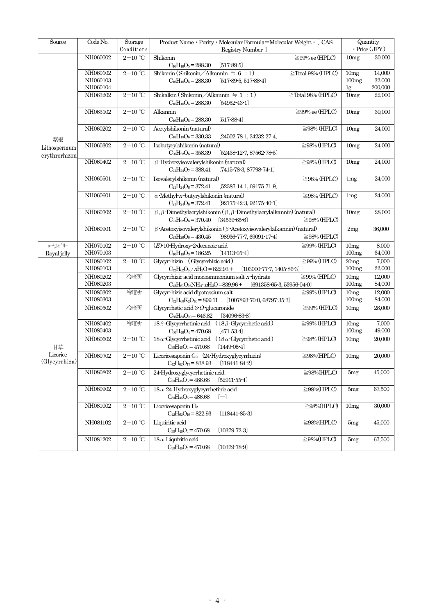| $\operatorname{Source}$ | Code No. | Storage                                | Product Name · Purity · Molecular Formula=Molecular Weight · [ CAS                             | Quantity<br>$\cdot$ Price (JPY) |         |
|-------------------------|----------|----------------------------------------|------------------------------------------------------------------------------------------------|---------------------------------|---------|
|                         |          | Conditions                             | Registry Number ]                                                                              |                                 |         |
|                         | NH060002 | $2-10$ °C                              | Shikonin<br>$\geq$ 99% ee (HPLC)<br>$C_{16}H_{16}O_5 = 288.30$<br>$[517-89-5]$                 | 10 <sub>mg</sub>                | 30,000  |
|                         | NH060102 | $2-10$ °C                              | Shikonin (Shikonin / Alkannin $\approx 6$ : 1)<br>$\ge$ Total 98% (HPLC)                       | 10 <sub>mg</sub>                | 14,000  |
|                         | NH060103 |                                        | $C_{16}H_{16}O_5 = 288.30$<br>$[517-89-5, 517-88-4]$                                           | 100mg                           | 32,000  |
|                         | NH060104 |                                        |                                                                                                | 1g                              | 200,000 |
|                         | NH063202 | $2-10$ ℃                               | Shikalkin (Shikonin / Alkannin $\div 1$ : 1)<br>$\ge$ Total 98% (HPLC)                         | 10 <sub>mg</sub>                | 22,000  |
|                         |          |                                        | $C_{16}H_{16}O_5 = 288.30$<br>$[54952-43-1]$                                                   |                                 |         |
|                         | NH063102 | $2-10$ ℃                               | Alkannin<br>$\geq$ 99% ee (HPLC)                                                               | 10 <sub>mg</sub>                | 30,000  |
|                         |          |                                        | $C_{16}H_{16}O_5 = 288.30$<br>$[517-88-4]$                                                     |                                 |         |
|                         | NH060202 | $2-10$ ℃                               | Acetylshikonin (natural)<br>$\geq$ 98% (HPLC)                                                  | 10 <sub>mg</sub>                | 24,000  |
| 紫根                      |          |                                        | $C_{18}H_{18}O_6 = 330.33$<br>$[24502-78-1, 34232-27-4]$                                       |                                 |         |
| Lithospermum            | NH060302 | $2-10$ °C                              | Isobutyrylshikonin (natural)<br>$\geq$ 98% (HPLC)                                              | 10mg                            | 24,000  |
| erythrorhizon           |          |                                        | $C_{20}H_{22}O_6 = 358.39$<br>$[52438-12-7, 87562-78-5]$                                       |                                 |         |
|                         | NH060402 | $2\mathrm{-}10\ ^{\circ}\!\mathrm{C}$  | $\beta$ -Hydroxyisovalerylshikonin (natural)<br>$\geq$ 98% (HPLC)                              | 10mg                            | 24,000  |
|                         |          |                                        | $C_{21}H_{24}O_7 = 388.41$<br>$(7415-78-3, 87798-74-1)$                                        |                                 |         |
|                         | NH060501 | $2-10$ °C                              | Isovalerylshikonin (natural)<br>$\geq$ 98% (HPLC)                                              | 1mg                             | 24,000  |
|                         |          |                                        | $C_{21}H_{24}O_6 = 372.41$<br>$[52387-14-1, 69175-71-9]$                                       |                                 |         |
|                         | NH060601 | $2-10$ °C                              | $\alpha$ -Methyl-n-butyrylshikonin (natural)<br>$\geq$ 98% (HPLC)                              | 1mg                             | 24,000  |
|                         |          |                                        | $C_{21}H_{24}O_6 = 372.41$<br>$[92175-42-3, 92175-40-1]$                                       |                                 |         |
|                         | NH060702 | $2-10$ ℃                               | $\beta$ , $\beta$ -Dimethylacrylshikonin ( $\beta$ , $\beta$ -Dimethylacrylalkannin) (natural) | 10 <sub>mg</sub>                | 28,000  |
|                         |          |                                        | $C_{21}H_{22}O_6 = 370.40$<br>$[34539-65-6]$<br>$\geq$ 98% (HPLC)                              |                                 |         |
|                         | NH060901 | $2-10$ ℃                               | $\beta$ -Acetoxyisovalerylshikonin ( $\beta$ -Acetoxyisovalerylalkannin) (natural)             | 2mg                             | 36,000  |
|                         |          |                                        | $\geq$ 98% (HPLC)<br>$C_{23}H_{26}O_8 = 430.45$<br>$[98936-77-7, 69091-17-4]$                  |                                 |         |
| ローヤルゼリー                 | NH070102 | $2\text{--}10\text{ }^{\circ}\text{C}$ | $(E)$ -10-Hydroxy-2-decenoic acid<br>$\geq$ 99% (HPLC)                                         | 10 <sub>mg</sub>                | 8,000   |
| Royal jelly             | NH070103 |                                        | $C_{10}H_{18}O_3 = 186.25$<br>[14113054]                                                       | 100mg                           | 64,000  |
|                         | NH080102 | $2-10$ °C                              | Glycyrrhizin (Glycyrrhizic acid)<br>$\geq$ 99% (HPLC)                                          | 20mg                            | 7,000   |
|                         | NH080103 |                                        | $C_{42}H_{62}O_{16} \cdot nH_2O = 822.93 +$<br>$[103000-77-7, 1405-86-3]$                      | 100mg                           | 22,000  |
|                         | NH080202 | 冷暗所                                    | Glycyrrhizic acid monoammonium salt n hydrate<br>$\geq$ 99% (HPLC)                             | 10mg                            | 12,000  |
|                         | NH080203 |                                        | $C_{42}H_{61}O_{16}NH_4 \cdot nH_2O = 839.96 +$<br>$(691358-65-3, 53956-04-0)$                 | 100mg                           | 84,000  |
|                         | NH080302 | 冷暗所                                    | Glycyrrhizic acid dipotassium salt<br>$\geq$ 99% (HPLC)                                        | 10mg                            | 12,000  |
|                         | NH080303 |                                        | $C_{42}H_{60}K_{2}O_{16}=899.11$<br>$[1007893-700, 68797-35-3]$                                | 100mg                           | 84,000  |
|                         | NH080502 | 冷暗所                                    | Glycyrrhetic acid $3-O$ -glucuronide<br>$\geq$ 99% (HPLC)                                      | 10mg                            | 28,000  |
|                         |          |                                        | $C_{36}H_{54}O_{10} = 646.82$<br>$[34096-83-8]$                                                |                                 |         |
|                         | NH080402 | 冷暗所                                    | 18 $\beta$ -Glycyrrhetinic acid (18 $\beta$ -Glycyrrhetic acid)<br>$\geq$ 99% (HPLC)           | 10mg                            | 7.000   |
|                         | NH080403 |                                        | $C_{30}H_{46}O_4 = 470.68$<br>$[471-53-4]$                                                     | 100mg                           | 49,000  |
|                         | NH080602 | $2-10$ °C                              | $18 \alpha$ Glycyrrhetinic acid ( $18 \alpha$ Glycyrrhetic acid)<br>$\geq$ 98% (HPLC)          | 10mg                            | 20,000  |
| 甘草                      |          |                                        | $[1449-05-4]$<br>$C_{30}H_{46}O_4 = 470.68$                                                    |                                 |         |
| Licorice                | NH080702 | $2-10$ °C                              | Licoricesaponin $G_2$ (24-Hydroxyglycyrrhizin)<br>$\geq$ 98%(HPLC)                             | 10mg                            | 20,000  |
| (Glycyrrhiza)           |          |                                        | $C_{42}H_{62}O_{17} = 838.93$ $(118441 - 84 - 2)$                                              |                                 |         |
|                         | NH080802 | $2\mathrm{-}10\ ^{\circ}\!\mathrm{C}$  | 24-Hydroxyglycyrrhetinic acid<br>$\geq$ 98%(HPLC)                                              | 5mg                             | 45,000  |
|                         |          |                                        | $C_{30}H_{46}O_5 = 486.68$<br>$[52911 - 55 - 4]$                                               |                                 |         |
|                         | NH080902 | $2\mathrm{-}10\ ^{\circ}\!\mathrm{C}$  | $\geq$ 98%(HPLC)<br>$18 \alpha$ -24-Hydroxyglycyrrhetinic acid                                 | 5mg                             | 67,500  |
|                         |          |                                        | $C_{30}H_{46}O_5 = 486.68$<br>$(-)$                                                            |                                 |         |
|                         | NH081002 | $2\mathrm{-}10\ ^{\circ}\!\mathrm{C}$  | $\geq$ 98%(HPLC)<br>Licoricesaponin H <sub>2</sub>                                             | 10mg                            | 30,000  |
|                         |          |                                        | $(118441 - 85 - 3)$<br>$C_{42}H_{62}O_{16} = 822.93$                                           |                                 |         |
|                         | NH081102 | $2\text{--}10\text{ }^{\circ}\text{C}$ | $\geq$ 98%(HPLC)<br>Liquiritic acid                                                            | 5mg                             | 45,000  |
|                         |          |                                        | $C_{30}H_{46}O_4 = 470.68$<br>$(10379 - 72 - 3)$                                               |                                 |         |
|                         | NH081202 | $2-10$ °C                              | $18 \alpha$ -Liquiritic acid<br>$\geq$ 98%(HPLC)                                               | 5mg                             | 67,500  |
|                         |          |                                        | $C_{30}H_{46}O_4 = 470.68$<br>$(10379 - 78 - 9)$                                               |                                 |         |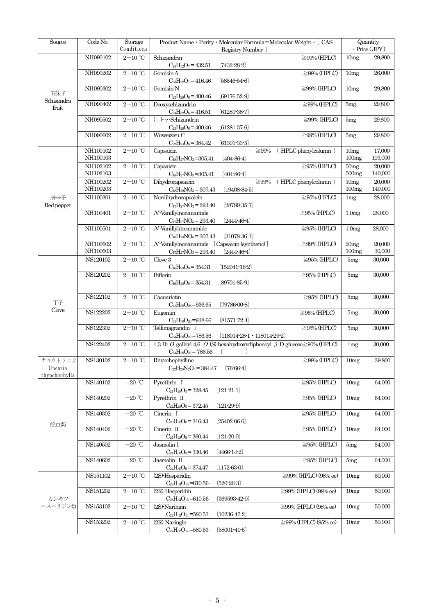| Source                              | Code No.             | Storage<br>Conditions                  | Product Name · Purity · Molecular Formula=Molecular Weight · [ CAS<br>Registry Number                                        | Quantity<br>$\cdot$ Price (JPY) |                   |
|-------------------------------------|----------------------|----------------------------------------|------------------------------------------------------------------------------------------------------------------------------|---------------------------------|-------------------|
|                                     | NH090102             | $2-10$ °C                              | Schizandrin<br>$\geq$ 99% (HPLC)<br>$C_{24}H_{32}O_7 = 432.51$<br>$(7432 - 28 - 2)$                                          | 10mg                            | 29,800            |
|                                     | NH090202             | $2\text{--}10\text{ }^{\circ}\text{C}$ | Gomisin A<br>$\geq$ 99% (HPLC)<br>$C_{23}H_{28}O_7 = 416.46$<br>$(58546-54-6)$                                               | 10mg                            | 26,000            |
| 五味子                                 | NH090302             | $2-10$ ℃                               | Gomisin N<br>$\geq$ 99% (HPLC)<br>$C_{23}H_{28}O_6 = 400.46$<br>$[69176-52-9]$                                               | 10mg                            | 29,800            |
| Schisandra<br>fruit                 | NH090402             | $2-10$ ℃                               | Deoxyschizandrin<br>$\geq$ 99% (HPLC)<br>$C_{24}H_{32}O_6 = 416.51$<br>$(61281 - 38 - 7)$                                    | 5mg                             | 29,800            |
|                                     | NH090502             | $2-10$ ℃                               | $(\pm)$ y Schizandrin<br>$\geq$ 99% (HPLC)<br>$C_{23}H_{28}O_6 = 400.46$<br>$(61281 - 37 - 6)$                               | 5mg                             | 29,800            |
|                                     | NH090602             | $2-10$ °C                              | Wuweizisu C<br>$\geq$ 99% (HPLC)<br>$C_{22}H_{24}O_6 = 384.42$<br>$(61301 - 33 - 5)$                                         | 5mg                             | 29,800            |
|                                     | NH100102<br>NH100103 | $2\text{--}10\text{ }^{\circ}\text{C}$ | Capsaicin<br>(HPLC phenylcolumn)<br>$\geq 99\%$<br>$C_{18}H_{27}NO_3 = 305.41$<br>$(404 - 86 - 4)$                           | 10mg<br>100mg                   | 17,000<br>119,000 |
|                                     | NH102102<br>NH102103 | $2-10$ ℃                               | Capsaicin<br>$\geq$ 95% (HPLC)<br>$C_{18}H_{27}NO_3 = 305.41$<br>$(404 - 86 - 4)$                                            | 50mg<br>500 <sub>mg</sub>       | 20,000<br>140,000 |
|                                     | NH100202<br>NH100203 | $2\mathrm{-}10$ $^\circ\!\mathrm{C}$   | Dihydrocapsaicin<br>(HPLC phenylcolumn)<br>≧99%<br>$C_{18}H_{29}NO_3 = 307.43$<br>$(19408 - 84 - 5)$                         | 10mg<br>100mg                   | 20,000<br>140,000 |
| 唐辛子<br>Red pepper                   | NH100301             | $2-10$ ℃                               | Nordihydrocapsaicin<br>$\geq$ 95% (HPLC)<br>$C_{17}H_{27}NO_3 = 293.40$<br>$(28789 - 35 - 7)$                                | 1mg                             | 28,000            |
|                                     | NH100401             | $2-10$ °C                              | $N$ -Vanillylnonanamide<br>$\geq$ 95% (HPLC)<br>$C_{17}H_{27}NO_3 = 293.40$<br>$[2444 - 46 - 4]$                             | 1.0 <sub>mg</sub>               | 28,000            |
|                                     | NH100501             | $2-10$ ℃                               | $N$ -Vanillyldecanamide<br>$\geq$ 95% (HPLC)<br>$C_{18}H_{29}NO_3 = 307.43$<br>$[31078-36-1]$                                | 1.0 <sub>mg</sub>               | 28,000            |
|                                     | NH100602<br>NH100603 | $2-10$ °C                              | $N$ -Vanillylnonanamide<br>[Capsaicin (synthetic)]<br>$\geq$ 99% (HPLC)<br>$C_{17}H_{27}NO_3 = 293.40$<br>$[2444-46-4]$      | 20mg<br>100mg                   | 20,000<br>30,000  |
|                                     | NS120102             | $2\text{--}10\text{ }^{\circ}\text{C}$ | Clove 3<br>$\geq$ 95% (HPLC)<br>$C_{16}H_{20}O_9 = 354.31$<br>$(152041 - 16 - 2)$                                            | 5mg                             | 30,000            |
| 丁子                                  | NS120202             | $2-10$ ℃                               | Biflorin<br>$\geq$ 95% (HPLC)<br>$C_{16}H_{20}O_9 = 354.31$<br>$[89701 - 85 - 9]$                                            | 5mg                             | 30,000            |
|                                     | NS122102             | $2-10$ ℃                               | $\geq$ 95% (HPLC)<br>Casuarictin<br>$C_{41}H_{28}O_{26} = 936.65$<br>$(79786 - 00 - 8)$                                      | 5mg                             | 30,000            |
| Clove                               | NS122202             | $2-10$ ℃                               | Eugeniin<br>$\geq$ 95% (HPLC)<br>$C_{41}H_{30}O_{26} = 938.66$<br>$(81571 - 72 - 4)$                                         | 5mg                             | 30,000            |
|                                     | NS122302             | $2\mathrm{-}10\ ^{\circ}\mathrm{C}$    | Tellimagrandin I<br>$\geq$ 95% (HPLC)<br>$C_{34}H_{26}O_{22} = 786.56$<br>$(118014-28-1 \cdot 118014-29-2)$                  | 5mg                             | 30,000            |
|                                     | NS122402             | $2-10$ °C                              | 1,3 Di O galloyl 4,6 $\cdot$ O (S) hexahydroxydiphenoyl $\beta$ D glucose $\geq$ 90% (HPLC)<br>$C_{34}H_{26}O_{22} = 786.56$ | 1mg                             | 30,000            |
| チョウトウコウ<br>Uncaria<br>rhynchophylla | NS130102             | $2-10$ °C                              | Rhynchophylline<br>$\geq$ 99% (HPLC)<br>$C_{22}H_{28}N_2O_4 = 384.47$<br>$[76-66-4]$                                         | 10mg                            | 39,800            |
|                                     | NS140102             | $-20$ °C                               | Pyrethrin I<br>$\geq$ 95% (HPLC)<br>$C_{21}H_{28}O_3 = 328.45$<br>$(121-21-1)$                                               | 10mg                            | 64,000            |
|                                     | NS140202             | $-20$ °C                               | $\geq$ 95% (HPLC)<br>Pyrethrin II<br>$C_{22}H_{28}O_5 = 372.45$<br>$[121-29-9]$                                              | 10mg                            | 64,000            |
|                                     | NS140302             | $-20$ °C                               | Cinerin I<br>$\geq$ 95% (HPLC)<br>$C_{20}H_{28}O_3 = 316.43$<br>$(25402-06-6)$                                               | 10mg                            | 64,000            |
| 除虫菊                                 | NS140402             | $-20$ °C                               | $\geq$ 95% (HPLC)<br>Cinerin II<br>$C_{21}H_{28}O_5 = 360.44$<br>$(121-20-0)$                                                | 10mg                            | 64,000            |
|                                     | NS140502             | $-20$ °C                               | Jasmolin I<br>$\geq$ 95% (HPLC)<br>$C_{21}H_{30}O_3 = 330.46$<br>$(4466 - 14 - 2)$                                           | 5mg                             | 64,000            |
|                                     | NS140602             | $-20$ °C                               | $\geq$ 95% (HPLC)<br>Jasmolin II<br>$C_{22}H_{30}O_5 = 374.47$<br>$(1172 - 63 - 0)$                                          | 5mg                             | 64,000            |
|                                     | NS151102             | $2-10$ ℃                               | (2S)-Hesperidin<br>$\geq$ 99% (HPLC) (98% ee)<br>$C_{28}H_{34}O_{15}=610.56$<br>$(520-26-3)$                                 | 10 <sub>mg</sub>                | 50,000            |
| カンキツ                                | NS151202             | $2-10$ °C                              | $\geq$ 99% (HPLC) (98% ee)<br>(2R)-Hesperidin<br>$C_{28}H_{34}O_{15} = 610.56$<br>$(369593-42-0)$                            | 10mg                            | 50,000            |
| ヘスペリジン類                             | NS153102             | $2-10$ °C                              | $\geq$ 99% (HPLC) (98% ee)<br>(2S) Naringin<br>$(10236 - 47 - 2)$<br>$C_{27}H_{32}O_{14} = 580.53$                           | 10mg                            | 50,000            |
|                                     | NS153202             | $2\mathrm{-}10\ ^{\circ}\!\mathrm{C}$  | $\geq$ 99% (HPLC) (95% ee)<br>(2R) Naringin<br>$C_{27}H_{32}O_{14}=580.53$<br>$(58001 - 41 - 5)$                             | 10mg                            | 50,000            |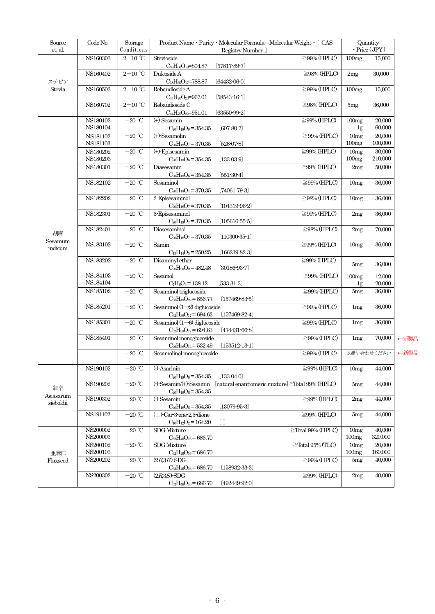| $\operatorname{Source}$<br>et. al. | Code No.                     | Storage<br>Conditions               | Product Name · Purity · Molecular Formula=Molecular Weight · [ CAS<br>Registry Number            |                                                 | Quantity<br>$\cdot$ Price (JPY) |                   |      |
|------------------------------------|------------------------------|-------------------------------------|--------------------------------------------------------------------------------------------------|-------------------------------------------------|---------------------------------|-------------------|------|
|                                    | $\overline{\mbox{NS16}}0303$ | $2-10$ °C                           | Stevioside<br>$C_{38}H_{60}O_{18}=804.87$<br>$[57817 - 89 - 7]$                                  | $\geq$ 99% (HPLC)                               | 100mg                           | 15,000            |      |
| ステビア                               | NS160402                     | $2\mathrm{-}10\ ^{\circ}\mathrm{C}$ | Dulcoside A<br>$C_{38}H_{60}O_{17}=788.87$<br>[64432.06.0]                                       | $\geq$ 98% (HPLC)                               | 2mg                             | 30,000            |      |
| Stevia                             | NS160503                     | $2\text{--}10$ °C                   | Rebaudioside A<br>$C_{44}H_{70}O_{23}=967.01$<br>$[58543-16-1]$                                  | $\geq$ 99% (HPLC)                               | 100mg                           | 15,000            |      |
|                                    | NS160702                     | $2\mathrm{-}10\ ^{\circ}\mathrm{C}$ | Rebaudioside C<br>$C_{44}H_{70}O_{22}=951.01$<br>$(63550-99-2)$                                  | $\geq$ 98% (HPLC)                               | 5mg                             | 36,000            |      |
|                                    | NS180103<br>NS180104         | $-20$ °C                            | $(+)$ -Sesamin<br>$C_{20}H_{18}O_6 = 354.35$<br>$[607 - 80 - 7]$                                 | $\geq$ 99% (HPLC)                               | 100mg<br>1 <sub>g</sub>         | 20,000<br>60,000  |      |
|                                    | NS181102<br>NS181103         | $-20~^{\circ}\mathrm{C}$            | $(+)$ -Sesamolin<br>$C_{20}H_{18}O_7 = 370.35$<br>$[526-07-8]$                                   | $\geq$ 99% (HPLC)                               | 10mg<br>100mg                   | 20,000<br>100,000 |      |
|                                    | NS180202<br>NS180203         | $-20$ °C                            | $(+)$ -Episesamin<br>$(133-03-9)$<br>$C_{20}H_{18}O_6 = 354.35$                                  | $\geq$ 99% (HPLC)                               | 10mg<br>100mg                   | 30,000<br>210,000 |      |
|                                    | NS180301                     | $-20~^{\circ}\mathrm{C}$            | Diasesamin<br>$C_{20}H_{18}O_6 = 354.35$<br>$(551-30-4)$                                         | $\geq$ 99% (HPLC)                               | 2mg                             | 50,000            |      |
|                                    | NS182102                     | $-20~^{\circ}\mathrm{C}$            | Sesaminol<br>$C_{20}H_{18}O_7 = 370.35$<br>$(74061 - 79 - 3)$                                    | $\geq$ 99% (HPLC)                               | 10mg                            | 36,000            |      |
|                                    | NS182202                     | $-20$ °C                            | 2-Episesaminol<br>$C_{20}H_{18}O_7 = 370.35$<br>$(104319 - 96 - 2)$                              | $\geq$ 98% (HPLC)                               | 10mg                            | 36,000            |      |
| 胡麻<br>Sesamum<br>indicum           | NS182301                     | $-20$ °C                            | 6-Episesaminol<br>$C_{20}H_{18}O_7 = 370.35$<br>$(105616-55-5)$                                  | $\geq$ 99% (HPLC)                               | 2mg                             | 36,000            |      |
|                                    | NS182401                     | $-20$ °C                            | Diasesaminol<br>$(110300-35-1)$<br>$C_{20}H_{18}O_7 = 370.35$                                    | $\geq$ 98% (HPLC)                               | 2mg                             | 70,000            |      |
|                                    | NS183102                     | $-20~^{\circ}\mathrm{C}$            | Samin<br>$C_{13}H_{14}O_5 = 250.25$<br>$(166239 - 82 - 3)$                                       | $\geq$ 99% (HPLC)                               | 10mg                            | 36,000            |      |
|                                    | NS183202                     | $-20$ °C                            | Disaminyl ether<br>$C_{26}H_{26}O_9 = 482.48$<br>$[30186-93-7]$                                  | $\geq$ 99% (HPLC)                               | 5mg                             | 36,000            |      |
|                                    | NS184103<br>NS184104         | $-20~^{\circ}\mathrm{C}$            | Sesamol<br>$C_7H_6O_3 = 138.12$<br>$[533-31-3]$                                                  | $\geq$ 99% (HPLC)                               | 100mg<br>1g                     | 12,000<br>20,000  |      |
|                                    | NS185102                     | $-20$ °C                            | Sesaminol triglucoside<br>$C_{38}H_{48}O_{22} = 856.77$<br>$(157469 - 83 - 5)$                   | $\geq$ 99% (HPLC)                               | 5mg                             | 36,000            |      |
|                                    | NS185201                     | $-20$ °C                            | Sesaminol $(1\rightarrow 2)$ diglucoside<br>$(157469 - 82 - 4)$<br>$C_{32}H_{38}O_{17} = 694.63$ | $\geq$ 99% (HPLC)                               | 1mg                             | 36,000            |      |
|                                    | NS185301                     | $-20$ °C                            | Sesaminol $(1\rightarrow 6)$ diglucoside<br>$(474431 - 66 - 8)$<br>$C_{32}H_{38}O_{17}=694.63$   | $\geq$ 99% (HPLC)                               | 1mg                             | 36,000            |      |
|                                    | NS185401                     | $-20$ °C                            | Sesaminol monoglucoside<br>$(153512 - 13 - 1)$<br>$C_{26}H_{28}O_{12}=532.49$                    | $\geq$ 99% (HPLC)                               | 1mg                             | 70,000            | ←新製品 |
|                                    |                              | $-20$ °C                            | Sesamolinol monoglucoside                                                                        | $\geq$ 99% (HPLC)                               |                                 | お問い合わせください        | ←新製品 |
|                                    | NS190102                     | $-20$ °C                            | $(-)$ -Asarinin<br>$C_{20}H_{18}O_6 = 354.35$<br>(133.04.0)                                      | $\geq$ 99% (HPLC)                               | 10 <sub>mg</sub>                | 44,000            |      |
| 細辛<br>Asiasarum                    | NS190202                     | $-20$ °C                            | $\left(\cdot\right)$ -Sesamin/ $\left(\cdot\right)$ -Sesamin<br>$C_{20}H_{18}O_6 = 354.35$       | [natural enantiomeric mixture]≧Total 99% (HPLC) | 5mg                             | 44,000            |      |
| sieboldii                          | NS190302                     | $-20$ °C                            | $\left( \cdot \right)$ -Sesamin<br>$(13079 - 95 - 3)$<br>$C_{20}H_{18}O_6 = 354.35$              | $\geq$ 99% (HPLC)                               | 2mg                             | 44,000            |      |
|                                    | NS191102                     | $-20$ °C                            | $(\pm)$ -Car-3-ene-2.5-dione<br>$\lceil$<br>$C_{10}H_{12}O_2 = 164.20$                           | $\geq$ 99% (HPLC)                               | 5mg                             | 44,000            |      |
|                                    | NS200002<br>NS200003         | $-20$ °C                            | <b>SDG</b> Mixture<br>$C_{32}H_{46}O_{16}=686.70$                                                | $\geq$ Total 99% (HPLC)                         | 10 <sub>mg</sub><br>100mg       | 40,000<br>320,000 |      |
| 亜麻仁                                | NS200102<br>NS200103         | $-20$ °C                            | <b>SDG</b> Mixture<br>$C_{32}H_{46}O_{16}=686.70$                                                | $\ge$ Total 95% (TLC)                           | 10 <sub>mg</sub><br>100mg       | 20,000<br>160,000 |      |
| Flaxseed                           | NS200202                     | $-20$ °C                            | $(2R3R)$ -SDG<br>$(158932 - 33 - 3)$<br>$C_{32}H_{46}O_{16}=686.70$                              | $\geq$ 99% (HPLC)                               | 5mg                             | 40,000            |      |
|                                    | NS200302                     | $-20$ °C                            | $(2R3S)$ -SDG<br>$C_{32}H_{46}O_{16}=686.70$<br>(492449.920)                                     | $\geq$ 99% (HPLC)                               | 2mg                             | 40,000            |      |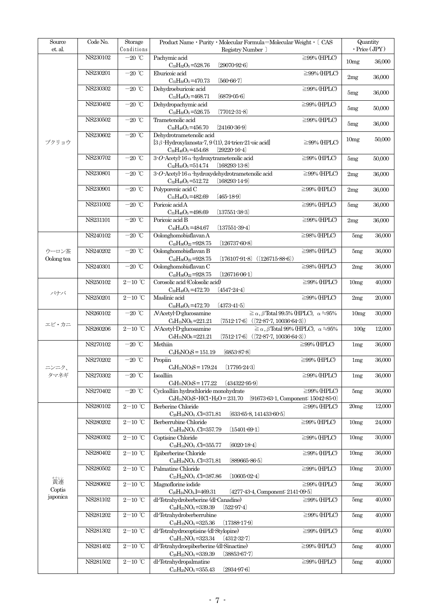| $\operatorname{Source}$<br>et. al. | Code No. | Storage<br>Conditions                  | Product Name • Purity • Molecular Formula=Molecular Weight • [ CAS<br>Registry Number                                                                           |                   | Quantity         | $\cdot$ Price (JPY) |
|------------------------------------|----------|----------------------------------------|-----------------------------------------------------------------------------------------------------------------------------------------------------------------|-------------------|------------------|---------------------|
|                                    | NS230102 | $-20$ °C                               | Pachymic acid<br>$(29070 - 92 - 6)$<br>$C_{33}H_{52}O_5 = 528.76$                                                                                               | $\geq$ 99% (HPLC) | 10mg             | 36,000              |
|                                    | NS230201 | $-20$ °C                               | Eburicoic acid                                                                                                                                                  | $\geq$ 99% (HPLC) | 2mg              | 36,000              |
|                                    | NS230302 | $-20$ $^{\circ}\!{\rm C}$              | $C_{31}H_{50}O_3 = 470.73$<br>$[560-66-7]$<br>Dehydroeburicoic acid                                                                                             | $\geq$ 99% (HPLC) | 5mg              | 36,000              |
|                                    | NS230402 | $-20$ °C                               | $C_{31}H_{48}O_3 = 468.71$<br>$(6879 - 05 - 6)$<br>Dehydropachymic acid                                                                                         | $\geq$ 99% (HPLC) |                  | 50,000              |
|                                    | NS230502 | $-20$ °C                               | $C_{33}H_{50}O_5 = 526.75$<br>$(77012-31-8)$<br>Trametenolic acid                                                                                               | $\geq$ 99% (HPLC) | 5mg              |                     |
|                                    |          |                                        | $C_{30}H_{48}O_3 = 456.70$<br>$(24160-36-9)$                                                                                                                    |                   | 5mg              | 36,000              |
| ブクリョウ                              | NS230602 | $-20$ °C                               | Dehydrotrametenolic acid<br>$[3 \beta$ -Hydroxylanosta-7, 9(11), 24-trien-21-oic acid<br>$[29220-16-4]$<br>$C_{30}H_{46}O_3 = 454.68$                           | $\geq$ 99% (HPLC) | 10mg             | 50,000              |
|                                    | NS230702 | $-20$ °C                               | 3-O-Acetyl-16 $\alpha$ -hydroxytrametenolic acid<br>$(168293 - 13 - 8)$<br>$C_{32}H_{50}O_5 = 514.74$                                                           | $\geq$ 99% (HPLC) | 5mg              | 50,000              |
|                                    | NS230801 | $-20\ ^{\circ}\!{\rm C}$               | 3-O-Acetyl-16 $\alpha$ -hydroxydehydrotrametenolic acid<br>$(168293 - 14 - 9)$<br>$C_{32}H_{48}O_5 = 512.72$                                                    | $\geq$ 99% (HPLC) | 2mg              | 36,000              |
|                                    | NS230901 | $-20$ $^{\circ}\!{\rm C}$              | Polyporenic acid C<br>$C_{31}H_{46}O_4 = 482.69$<br>$(465 - 18 - 9)$                                                                                            | $\geq$ 99% (HPLC) | 2mg              | 36,000              |
|                                    | NS231002 | $-20$ °C                               | Poricoic acid A<br>$C_{31}H_{46}O_5 = 498.69$<br>$(137551 - 38 - 3)$                                                                                            | $\geq$ 99% (HPLC) | 5mg              | 36,000              |
|                                    | NS231101 | $-20$ °C                               | Poricoic acid B<br>$C_{30}H_{44}O_5 = 484.67$<br>$(137551 - 39 - 4)$                                                                                            | $\geq$ 99% (HPLC) | 2mg              | 36,000              |
|                                    | NS240102 | $-20$ °C                               | Oolonghomobisflavan A<br>$(126737 - 60 - 8)$                                                                                                                    | $\geq$ 98% (HPLC) | 5mg              | 36,000              |
| ウーロン茶                              | NS240202 | $-20\ ^{\circ}\!{\rm C}$               | $C_{45}H_{36}O_{22} = 928.75$<br>Oolonghomobisflavan B                                                                                                          | $\geq$ 98% (HPLC) | 5mg              | 36,000              |
| Oolong tea                         | NS240301 | $-20$ °C                               | $C_{45}H_{36}O_{22} = 928.75$<br>$(176107-91-8)$ $((126715-88-6))$<br>Oolonghomobisflavan C                                                                     | $\geq$ 98% (HPLC) | 2mg              | 36,000              |
|                                    | NS250102 | $2-10$ °C                              | $C_{45}H_{36}O_{22} = 928.75$<br>$(126716-06-1)$<br>Corosolic acid (Colosolic acid)                                                                             | $\geq$ 99% (HPLC) | 10mg             | 40,000              |
| バナバ                                | NS250201 | $2-10$ °C                              | $(4547 - 24 - 4)$<br>$C_{30}H_{48}O_4 = 472.70$<br>Maslinic acid                                                                                                | $\geq$ 99% (HPLC) | 2mg              | 20,000              |
|                                    | NS260102 | $-20$ °C                               | $C_{30}H_{48}O_4 = 472.70$<br>$(4373-41-5)$<br>N-Acetyl-D-glucosamine<br>$\geq \alpha$ , $\beta$ Total 99.5% (HPLC), $\alpha = 95\%$                            |                   | 10mg             | 30,000              |
| エビ・カニ                              | NS260206 | $2\mathrm{-}10\ ^{\circ}\mathrm{C}$    | $C_8H_{15}NO_6=221.21$<br>$(7512 - 17 - 6)$<br>$((72-87-7, 10036-64-3))$<br>$\geq \alpha$ , $\beta$ Total 99% (HPLC), $\alpha = 95\%$<br>N-Acetyl-D-glucosamine |                   | 100 <sub>g</sub> | 12,000              |
|                                    | NS270102 | $-20$ °C                               | $(7512-17-6)$ $((72-87-7, 10036-64-3))$<br>$C_8H_{15}NO_6=221.21$<br>Methiin                                                                                    | $\geq$ 99% (HPLC) | 1mg              | 36,000              |
|                                    | NS270202 | $-20$ $^{\circ}\!{\rm C}$              | $C_4H_9NO_3S = 151.19$<br>$(6853 - 87 - 8)$<br>Propiin                                                                                                          | $\geq$ 99% (HPLC) | 1mg              | 36,000              |
| ニンニク、<br>タマネギ                      | NS270302 | $-20$ °C                               | $C_6H_{13}NO_3S = 179.24$<br>$(17795 - 24 - 3)$<br>Isoalliin                                                                                                    | $\geq$ 99% (HPLC) | 1mg              | 36,000              |
|                                    |          | $-20$ °C                               | $C_6H_{11}NO_3S = 177.22$<br>$(434322 - 95 - 9)$                                                                                                                |                   |                  |                     |
|                                    | NS270402 |                                        | Cycloalliin hydrochloride monohydrate<br>$C_6H_{11}NO_3S \cdot HCl \cdot H_2O = 231.70$<br>$[91673-63-1,$ Component: $15042-85-0]$                              | $\geq$ 99% (HPLC) | 5mg              | 36,000              |
|                                    | NS280102 | $2\mathrm{-}10\ ^{\circ}\!\mathrm{C}$  | Berberine Chloride<br>$\rm{C}_{20}H_{18}NO_4$ .<br>Cl=371.81<br>$[633-65-8, 141433-60-5]$                                                                       | $\geq$ 99% (HPLC) | 20mg             | 12,000              |
|                                    | NS280202 | $2\mathrm{-}10\ ^{\circ}\!\mathrm{C}$  | Berberrubine Chloride<br>$C_{19}H_{16}NO_4$ .Cl=357.79<br>$(15401 - 69 - 1)$                                                                                    | $\geq$ 99% (HPLC) | 10mg             | 24,000              |
|                                    | NS280302 | $2\text{--}10\text{ }^{\circ}\text{C}$ | Coptisine Chloride<br>$C_{19}H_{14}NO_4$ .Cl=355.77<br>$(6020-18-4)$                                                                                            | $\geq$ 99% (HPLC) | 10mg             | 30,000              |
|                                    | NS280402 | $2-10$ °C                              | Epiberberine Chloride<br>C <sub>20</sub> H <sub>18</sub> NO <sub>4</sub> .Cl=371.81<br>$[889665 - 86 - 5]$                                                      | $\geq$ 99% (HPLC) | 10 <sub>mg</sub> | 36,000              |
|                                    | NS280502 | $2\mathrm{-}10\ ^{\circ}\!\mathrm{C}$  | Palmatine Chloride<br>$C_{21}H_{22}NO_4$ .Cl=387.86<br>$(10605 - 02 - 4)$                                                                                       | $\geq$ 99% (HPLC) | 10mg             | 20,000              |
| 横連<br>Coptis                       | NS280602 | $2\mathrm{-}10\ ^{\circ}\!\mathrm{C}$  | Magnoflorine iodide<br>C <sub>20</sub> H <sub>24</sub> NO <sub>4</sub> ,I=469.31<br>$[4277-43-4,$ Component: $2141-09-5]$                                       | $\geq$ 99% (HPLC) | 5mg              | 36,000              |
| japonica                           | NS281102 | $2\mathrm{-}10\ ^{\circ}\!\mathrm{C}$  | dl-Tetrahydroberberine (dl-Canadine)<br>$C_{20}H_{21}NO_4 = 339.39$<br>$[522-97-4]$                                                                             | $\geq$ 99% (HPLC) | 5mg              | 40,000              |
|                                    | NS281202 | $2-10$ ℃                               | dl-Tetrahydroberberrubine<br>$(17388 - 17 - 9)$<br>$C_{19}H_{19}NO_4 = 325.36$                                                                                  | $\geq$ 99% (HPLC) | 5mg              | 40,000              |
|                                    | NS281302 | $2\mathrm{-}10\ ^{\circ}\!\mathrm{C}$  | dl-Tetrahydrocoptisine (dl-Stylopine)<br>$C_{19}H_{17}NO_4 = 323.34$<br>$(4312-32-7)$                                                                           | $\geq$ 99% (HPLC) | 5mg              | 40,000              |
|                                    | NS281402 | $2\mathrm{-}10\ ^{\circ}\!\mathrm{C}$  | dl-Tetrahydroepiberberine (dl-Sinactine)<br>$C_{20}H_{21}NO_4 = 339.39$<br>$(38853 - 67 - 7)$                                                                   | $\geq$ 99% (HPLC) | 5mg              | 40,000              |
|                                    | NS281502 | $2-10$ <sup>°</sup> C                  | dl-Tetrahydropalmatine<br>$C_{21}H_{25}NO_4 = 355.43$<br>$[2934-97-6]$                                                                                          | $\geq$ 99% (HPLC) | 5mg              | 40,000              |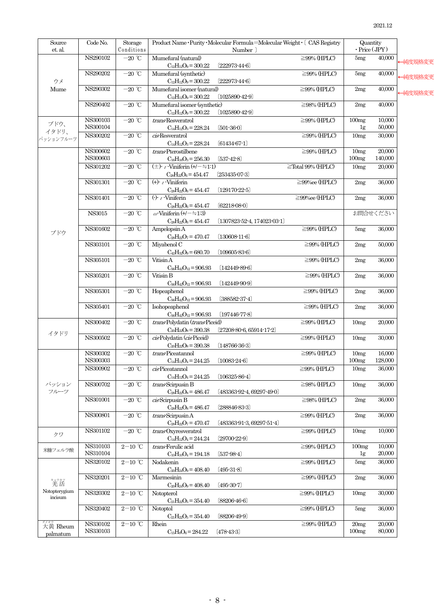| $\operatorname{Source}$<br>et. al. | Code No.       | Storage                   |                                                 | Product Name · Purity · Molecular Formula=Molecular Weight · [ CAS Registry |                        | Quantity       |                               |         |
|------------------------------------|----------------|---------------------------|-------------------------------------------------|-----------------------------------------------------------------------------|------------------------|----------------|-------------------------------|---------|
|                                    | NS290102       | Conditions<br>$-20$ °C    | Mumefural (natural)                             | Number ]                                                                    | $\geq$ 99% (HPLC)      |                | $\cdot$ Price (JPY)<br>40,000 |         |
|                                    |                |                           | $C_{12}H_{12}O_9 = 300.22$                      | $(222973 - 44 - 6)$                                                         |                        | 5mg            |                               | ←純度規格変更 |
|                                    | NS290202       | $-20$ °C                  | Mumefural (synthetic)                           |                                                                             | $\geq$ 99% (HPLC)      | 5mg            | 40,000                        |         |
| ウメ                                 |                |                           | $C_{12}H_{12}O_9 = 300.22$                      | $(222973 - 44 - 6)$                                                         |                        |                |                               | ├純度規格変更 |
| Mume                               | NS290302       | $-20$ °C                  | Mumefural isomer (natural)                      |                                                                             | $\geq$ 99% (HPLC)      | 2mg            | 40,000                        | 一純度規格変更 |
|                                    |                |                           | $C_{12}H_{12}O_9 = 300.22$                      | $(1025890-42-9)$                                                            |                        |                |                               |         |
|                                    | NS290402       | $-20$ °C                  | Mumefural isomer (synthetic)                    |                                                                             | $\geq$ 98% (HPLC)      | 2mg            | 40,000                        |         |
|                                    |                |                           | $C_{12}H_{12}O_9 = 300.22$                      | $(1025890-42-9)$                                                            |                        |                |                               |         |
| ブドウ、                               | NS300103       | $-20$ °C                  | trans-Resveratrol                               |                                                                             | $\geq$ 99% (HPLC)      | 100mg          | 10,000                        |         |
| イタドリ、                              | NS300104       |                           | $C_{14}H_{12}O_3 = 228.24$                      | $[501-36-0]$                                                                |                        | 1 <sub>g</sub> | 50,000<br>30,000              |         |
| パッションフルーツ                          | NS300202       | $-20$ °C                  | cis Resveratrol<br>$C_{14}H_{12}O_3 = 228.24$   | $(61434 - 67 - 1)$                                                          | $\geq$ 99% (HPLC)      | 10mg           |                               |         |
|                                    | NS300602       | $-20$ °C                  | trans Pterostilbene                             |                                                                             | $\geq$ 99% (HPLC)      | 10mg           | 20,000                        |         |
|                                    | $\rm NS300603$ |                           | $C_{16}H_{16}O_3 = 256.30$                      | $[537-42-8]$                                                                |                        | 100mg          | 140,000                       |         |
|                                    | NS301202       | $-20$ °C                  | $(\pm)$ c Viniferin $(+/-=1.1)$                 |                                                                             | $\ge$ Total 99% (HPLC) | 10mg           | 20,000                        |         |
|                                    |                |                           | $C_{28}H_{22}O_6 = 454.47$                      | $[25343507-3]$                                                              |                        |                |                               |         |
|                                    | NS301301       | $-20$ °C                  | $(+)$ $\epsilon$ Viniferin                      |                                                                             | $\geq$ 99%ee (HPLC)    | 2mg            | 36,000                        |         |
|                                    |                |                           | $C_{28}H_{22}O_6 = 454.47$                      | $(129170-22-5)$                                                             |                        |                |                               |         |
|                                    | NS301401       | $-20$ °C                  | $\left(\cdot\right)$ & Viniferin                |                                                                             | $\geq$ 99%ee (HPLC)    | 2mg            | 36,000                        |         |
|                                    |                |                           | $C_{28}H_{22}O_6 = 454.47$                      | $(62218 - 08 - 0)$                                                          |                        |                |                               |         |
|                                    | <b>NS3015</b>  | $-20$ °C                  | $\omega$ -Viniferin (+/- $\div$ 1:3)            |                                                                             |                        |                | お問合せください                      |         |
|                                    | NS301602       | $-20$ °C                  | $C_{28}H_{22}O_6 = 454.47$<br>Ampelopsin A      | $(1307823 - 52 - 4, 174023 - 03 - 1)$                                       | $\geq$ 99% (HPLC)      | 5mg            | 36,000                        |         |
| ブドウ                                |                |                           | $C_{28}H_{22}O_7 = 470.47$                      | $(130608 - 11 - 6)$                                                         |                        |                |                               |         |
|                                    | NS303101       | $-20$ °C                  | Miyabenol C                                     |                                                                             | $\geq$ 99% (HPLC)      | 2mg            | 50,000                        |         |
|                                    |                |                           | $C_{42}H_{32}O_9 = 680.70$                      | $(109605 - 83 - 6)$                                                         |                        |                |                               |         |
|                                    | NS305101       | $-20$ °C                  | Vitisin A                                       |                                                                             | $\geq$ 99% (HPLC)      | 2mg            | 36,000                        |         |
|                                    |                |                           | $C_{56}H_{42}O_{12}=906.93$                     | $[142449-89-6]$                                                             |                        |                |                               |         |
|                                    | NS305201       | $-20$ °C                  | Vitisin B                                       |                                                                             | $\geq$ 99% (HPLC)      | 2mg            | 36,000                        |         |
|                                    |                |                           | $C_{56}H_{42}O_{12}=906.93$                     | $(142449 - 90 - 9)$                                                         |                        |                |                               |         |
|                                    | NS305301       | $-20$ $^{\circ}\!{\rm C}$ | Hopeaphenol                                     |                                                                             | $\geq$ 99% (HPLC)      | 2mg            | 36,000                        |         |
|                                    | NS305401       | $-20$ °C                  | $C_{56}H_{42}O_{12}=906.93$<br>Isohopeaphenol   | $(388582 - 37 - 4)$                                                         | $\geq$ 99% (HPLC)      | 2mg            | 36,000                        |         |
|                                    |                |                           | $C_{56}H_{42}O_{12}=906.93$                     | $(197446 - 77 - 8)$                                                         |                        |                |                               |         |
|                                    | NS300402       | $-20$ °C                  | trans Polydatin (trans Piceid)                  |                                                                             | $\geq$ 99% (HPLC)      | 10mg           | 20,000                        |         |
|                                    |                |                           | $C_{20}H_{22}O_8 = 390.38$                      | $(27208 - 80 - 6, 65914 - 17 - 2)$                                          |                        |                |                               |         |
| イタドリ                               | NS300502       | $-20$ °C                  | cis Polydatin (cis Piceid)                      |                                                                             | $\geq$ 99% (HPLC)      | 10mg           | 30,000                        |         |
|                                    |                |                           | $C_{20}H_{22}O_8 = 390.38$                      | $(148766-36-3)$                                                             |                        |                |                               |         |
|                                    | NS300302       | $-20$ °C                  | trans Piceatannol                               |                                                                             | $\geq$ 99% (HPLC)      | 10mg           | 16,000                        |         |
|                                    | NS300303       |                           | $C_{14}H_{12}O_4 = 244.25$                      | $(10083 - 24 - 6)$                                                          |                        | 100mg          | 128,000                       |         |
|                                    | NS300902       | $-20$ °C                  | cis Piceatannol                                 |                                                                             | $\geq$ 99% (HPLC)      | 10mg           | 36,000                        |         |
|                                    |                |                           | $C_{14}H_{12}O_4 = 244.25$                      | $(106325 - 86 - 4)$                                                         |                        |                |                               |         |
| パッション<br>フルーツ                      | NS300702       | $-20$ °C                  | trans Scirpusin B<br>$C_{28}H_{22}O_8 = 486.47$ | [483363-92-4, 69297-49-0]                                                   | $\geq$ 98% (HPLC)      | 10mg           | 36,000                        |         |
|                                    | NS301001       | $-20$ °C                  | cis Scirpusin B                                 |                                                                             | $\geq$ 98% (HPLC)      | 2mg            | 36,000                        |         |
|                                    |                |                           | $C_{28}H_{22}O_8 = 486.47$                      | $[288846-83-3]$                                                             |                        |                |                               |         |
|                                    | NS300801       | $-20$ °C                  | trans Scirpusin A                               |                                                                             | $\geq$ 99% (HPLC)      | 2mg            | 36,000                        |         |
|                                    |                |                           | $C_{28}H_{22}O_7 = 470.47$                      | $(483363-91-3, 69297-51-4)$                                                 |                        |                |                               |         |
| クワ                                 | NS301102       | $-20$ $^{\circ}\!{\rm C}$ | transOxyresveratrol                             |                                                                             | $\geq$ 99% (HPLC)      | 10mg           | 10,000                        |         |
|                                    |                |                           | $C_{14}H_{12}O_4 = 244.24$                      | $[29700-22-9]$                                                              |                        |                |                               |         |
| 米糠フェルラ酸                            | NS310103       | $2-10$ °C                 | trans-Ferulic acid                              |                                                                             | $\geq$ 99% (HPLC)      | 100mg          | 10,000                        |         |
|                                    | NS310104       |                           | $C_{10}H_{10}O_4 = 194.18$                      | $[537-98-4]$                                                                |                        | 1 <sub>g</sub> | 20,000                        |         |
|                                    | NS320102       | $2-10$ °C                 | Nodakenin                                       |                                                                             | $\geq$ 99% (HPLC)      | 5mg            | 36,000                        |         |
|                                    | NS320201       | $2-10$ °C                 | $C_{20}H_{24}O_9 = 408.40$<br>Marmesinin        | $(495-31-8)$                                                                | $\geq$ 99% (HPLC)      | 2mg            | 36,000                        |         |
| 精光活                                |                |                           | $C_{20}H_{24}O_9 = 408.40$                      | $(495-30-7)$                                                                |                        |                |                               |         |
| Notopterygium                      | NS320302       | $2-10$ ℃                  | Notopterol                                      |                                                                             | $\geq$ 99% (HPLC)      | 10mg           | 30,000                        |         |
| incisum                            |                |                           | $C_{21}H_{22}O_5 = 354.40$                      | $(88206-46-6)$                                                              |                        |                |                               |         |
|                                    | NS320402       | $2-10$ °C                 | Notoptol                                        |                                                                             | $\geq$ 99% (HPLC)      | 5mg            | 36,000                        |         |
|                                    |                |                           | $C_{21}H_{22}O_5 = 354.40$                      | $[88206-49-9]$                                                              |                        |                |                               |         |
| 大黄 Rheum                           | NS330102       | $2-10$ °C                 | Rhein                                           |                                                                             | $\geq$ 99% (HPLC)      | 20mg           | 20,000                        |         |
| palmatum                           | NS330103       |                           | $C_{15}H_8O_6 = 284.22$                         | $(478-43-3)$                                                                |                        | 100mg          | 80,000                        |         |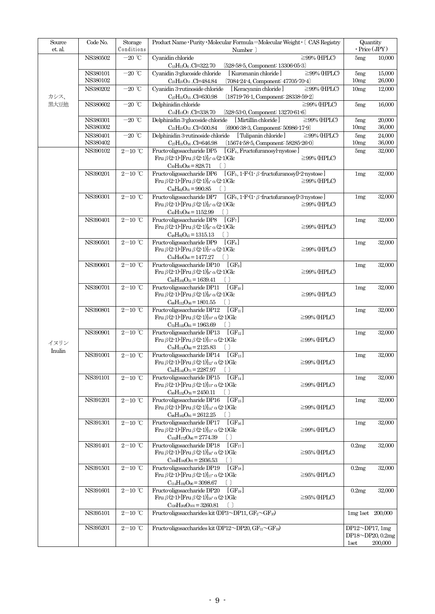| Source<br>et. al. | Code No.             | Storage<br>Conditions               | Product Name · Purity · Molecular Formula=Molecular Weight · [ CAS Registry<br>Number                                                                                                                               |                       | Quantity<br>$\cdot$ Price (JPY) |  |
|-------------------|----------------------|-------------------------------------|---------------------------------------------------------------------------------------------------------------------------------------------------------------------------------------------------------------------|-----------------------|---------------------------------|--|
|                   | NS380502             | $-20$ °C                            | Cyanidin chloride<br>$\geq$ 99% (HPLC)                                                                                                                                                                              | 5mg                   | 10,000                          |  |
|                   | NS380101             | $-20$ °C                            | $C_{15}H_{11}O_6$ .Cl=322.70<br>$[528-58-5,$ Component: $13306-05-3]$<br>Cyanidin 3-glucoside chloride<br>$\geq$ 99% (HPLC)<br>[Kuromanin chloride]                                                                 | 5mg                   | 15,000                          |  |
|                   | NS380102             |                                     | $(7084-24-4,$ Component: $47705-70-4)$<br>$C_{21}H_{21}O_{11}$ .Cl=484.84                                                                                                                                           | 10mg                  | 26,000                          |  |
| カシス、              | NS380202             | $-20$ °C                            | $\geq$ 99% (HPLC)<br>Cyanidin 3-rutinoside chloride<br>[Keracyanin chloride]<br>$(18719 - 76 - 1,$ Component: $28338 - 59 - 2)$<br>$C_{27}H_{31}O_{15}$ .Cl=630.98                                                  | 10 <sub>mg</sub>      | 12,000                          |  |
| 黒大豆他              | NS380602             | $-20$ °C                            | $\geq$ 99% (HPLC)<br>Delphinidin chloride<br>$C_{15}H_{11}O_7$ .Cl=338.70<br>$[528-53-0,$ Component: $13270-61-6]$                                                                                                  | 5mg                   | 16,000                          |  |
|                   | NS380301             | $-20$ °C                            | Delphinidin 3-glucoside chloride<br>[Mirtillin chloride]<br>$\geq$ 99% (HPLC)                                                                                                                                       | 5mg                   | 20,000                          |  |
|                   | NS380302<br>NS380401 | $-20$ °C                            | $C_{21}H_{21}O_{12}$ .Cl=500.84<br>[6906-38-3, Component: 50986-17-9]<br>Delphinidin 3-rutinoside chloride<br>[Tulipanin chloride]<br>$\geq$ 99% (HPLC)                                                             | 10mg<br>5mg           | 36,000<br>$\frac{24,000}{2}$    |  |
|                   | NS380402             |                                     | $(15674 - 58 - 5,$ Component: $58285 - 26 - 0)$<br>$C_{27}H_{31}O_{16}$ .Cl=646.98                                                                                                                                  | 10mg                  | 36,000                          |  |
|                   | NS390102             | $2-10$ ℃                            | Fructo-oligosaccharide DP5<br>[GF <sub>4</sub> , Fructofuranosyl-nystose]<br>Fru $\beta$ (2-1)-[Fru $\beta$ (2-1)] <sub>3</sub> - $\alpha$ (2-1)Glc<br>$\geq$ 99% (HPLC)<br>$C_{30}H_{52}O_{26} = 828.71$<br>$\Box$ | 5mg                   | 32,000                          |  |
|                   | NS390201             | $2-10$ ℃                            | $[GF_5, 1-F(1-\beta-fructofuranosyl)-2-nystose]$<br>Fructo-oligosaccharide DP6                                                                                                                                      | 1mg                   | 32,000                          |  |
|                   |                      |                                     | Fru $\beta$ (2-1)-[Fru $\beta$ (2-1)] <sub>4</sub> $\alpha$ (2-1)Glc<br>$\geq$ 99% (HPLC)<br>$C_{36}H_{62}O_{31} = 990.85$<br>$\Box$                                                                                |                       |                                 |  |
|                   | NS390301             | $2-10$ ℃                            | Fructooligosaccharide DP7 $[GF_6, 1-F(1-\beta-\text{fructofuranosyl})-3-\text{nystose}]$                                                                                                                            | 1mg                   | 32,000                          |  |
|                   |                      |                                     | Fru $\beta$ (2-1)-[Fru $\beta$ (2-1)] <sub>5</sub> $\alpha$ (2-1)Glc<br>$\geq$ 99% (HPLC)<br>$C_{42}H_{72}O_{36}=1152.99$                                                                                           |                       |                                 |  |
|                   | NS390401             | $2-10$ ℃                            | Fructo-oligosaccharide DP8<br>$[GF_7]$                                                                                                                                                                              | 1mg                   | 32,000                          |  |
|                   |                      |                                     | Fru $\beta$ (2-1)-[Fru $\beta$ (2-1)] <sub>6</sub> $\alpha$ (2-1)Glc<br>$\geq$ 99% (HPLC)<br>$C_{48}H_{82}O_{41} = 1315.13$                                                                                         |                       |                                 |  |
|                   | NS390501             | $2-10$ ℃                            | Fructo-oligosaccharide DP9<br>$[GF_8]$<br>Fru $\beta$ (2-1)-[Fru $\beta$ (2-1)] $_7$ $\alpha$ (2-1)Glc<br>$\geq$ 99% (HPLC)                                                                                         | 1mg                   | 32,000                          |  |
|                   |                      |                                     | $C_{54}H_{92}O_{46}=1477.27$<br>$\Box$                                                                                                                                                                              |                       |                                 |  |
|                   | NS390601             | $2-10$ ℃                            | Fructo-oligosaccharide DP10<br>$[GF_9]$                                                                                                                                                                             | 1mg                   | 32,000                          |  |
|                   |                      |                                     | Fru $\beta$ (2-1)-[Fru $\beta$ (2-1)] <sub>8</sub> $\alpha$ (2-1)Glc<br>$\geq$ 99% (HPLC)<br>$C_{60}H_{102}O_{51} = 1639.41$                                                                                        |                       |                                 |  |
|                   | NS390701             | $2-10$ °C                           | Fructo-oligosaccharide DP11<br>$[GF_{10}]$                                                                                                                                                                          | 1mg                   | 32,000                          |  |
|                   |                      |                                     | Fru $\beta$ (2-1)-[Fru $\beta$ (2-1)] <sub>9</sub> - $\alpha$ (2-1)Glc<br>$\geq$ 99% (HPLC)<br>$C_{66}H_{112}O_{56}=1801.55$<br>n                                                                                   |                       |                                 |  |
|                   | NS390801             | $2-10$ ℃                            | Fructo-oligosaccharide DP12<br>$[\rm\,GF_{11}]$<br>Fru β(2-1)-[Fru β(2-1)] <sub>10</sub> $\alpha$ (2-1)Glc<br>$\geq$ 99% (HPLC)                                                                                     | 1mg                   | 32,000                          |  |
|                   |                      |                                     | $C_{72}H_{122}O_{61} = 1963.69$                                                                                                                                                                                     |                       |                                 |  |
|                   | NS390901             | $2-10$ <sup>°</sup> C               | Fructo-oligosaccharide DP13<br>$\lceil$ GF <sub>12</sub> $\rceil$<br>Fru $\beta$ (2-1)-[Fru $\beta$ (2-1)] <sub>11</sub> - $\alpha$ (2-1)Glc<br>$\geq$ 99% (HPLC)                                                   | 1mg                   | 32,000                          |  |
| イヌリン<br>Inulin    |                      |                                     | $C_{78}H_{132}O_{66}=2125.83$                                                                                                                                                                                       |                       |                                 |  |
|                   | NS391001             | $2-10$ ℃                            | Fructo-oligosaccharide DP14<br>$[GF_{13}]$<br>Fru β(2-1)-[Fru β(2-1)] <sub>12</sub> $\alpha$ (2-1)Glc<br>$\geq$ 99% (HPLC)                                                                                          | 1mg                   | 32,000                          |  |
|                   |                      |                                     | $C_{84}H_{142}O_{71} = 2287.97$                                                                                                                                                                                     |                       |                                 |  |
|                   | NS391101             | $2\mathrm{-}10\ ^{\circ}\mathrm{C}$ | Fructo-oligosaccharide DP15<br>$[GF_{14}]$<br>Fru β(2-1)-[Fru β(2-1)] <sub>13</sub> $\alpha$ (2-1)Glc<br>$\geq$ 99% (HPLC)                                                                                          | 1mg                   | 32,000                          |  |
|                   |                      |                                     | $C_{90}H_{152}O_{76}=2450.11$                                                                                                                                                                                       |                       |                                 |  |
|                   | NS391201             | $2-10$ ℃                            | Fructo-oligosaccharide DP16<br>$ GF_{15} $<br>Fru β(2-1)-[Fru β(2-1)] <sub>14</sub> $\alpha$ (2-1)Glc<br>$\geq$ 99% (HPLC)                                                                                          | 1mg                   | 32,000                          |  |
|                   |                      |                                     | $C_{96}H_{162}O_{81} = 2612.25$<br>$\lceil$                                                                                                                                                                         |                       |                                 |  |
|                   | NS391301             | $2-10$ °C                           | Fructo-oligosaccharide DP17<br>$[GF_{16}]$<br>Fru β(2-1)-[Fru β(2-1)] <sub>15</sub> $\alpha$ (2-1)Glc<br>$\geq$ 99% (HPLC)                                                                                          | 1mg                   | 32,000                          |  |
|                   |                      |                                     | $C_{102}H_{172}O_{86} = 2774.39$<br>$\lceil$ $\rceil$                                                                                                                                                               |                       |                                 |  |
|                   | NS391401             | $2-10$ °C                           | Fructo-oligosaccharide DP18<br>$\left[ \text{ GF}_{17} \right]$<br>Fru β(2-1)-[Fru β(2-1)] <sub>16</sub> $\alpha$ (2-1)Glc<br>$\geq$ 95% (HPLC)                                                                     | 0.2mg                 | 32,000                          |  |
|                   |                      |                                     | $C_{108}H_{182}O_{91} = 2936.53$                                                                                                                                                                                    |                       |                                 |  |
|                   | NS391501             | $2-10$ ℃                            | Fructo-oligosaccharide DP19<br>$[GF_{18}]$<br>Fru β(2-1)-[Fru β(2-1)] <sub>17</sub> $\alpha$ (2-1)Glc<br>$\geq$ 95% (HPLC)                                                                                          | 0.2mg                 | 32,000                          |  |
|                   |                      |                                     | $C_{114}H_{192}O_{96}=3098.67$<br>$\lceil$                                                                                                                                                                          |                       |                                 |  |
|                   | NS391601             | $2-10$ ℃                            | $[GF_{19}]$<br>Fructo-oligosaccharide DP20<br>$\geq$ 95% (HPLC)<br>Fru $\beta$ (2-1)-[Fru $\beta$ (2-1)] <sub>18</sub> $\alpha$ (2-1)Glc                                                                            | 0.2mg                 | 32,000                          |  |
|                   | NS395101             |                                     | $C_{120}H_{202}O_{101} = 3260.81$<br>$[\ ]$                                                                                                                                                                         |                       |                                 |  |
|                   |                      | $2-10$ ℃                            | Fructo-oligosaccharides kit (DP3 $\sim$ DP11, GF <sub>2</sub> $\sim$ GF <sub>10</sub> )                                                                                                                             | $1mg$ 1set $200,000$  |                                 |  |
|                   | NS395201             | $2-10$ °C                           | Fructo oligosaccharides kit (DP12 $\sim$ DP20, GF <sub>11</sub> $\sim$ GF <sub>19</sub> )                                                                                                                           | DP12 $\neg$ DP17, 1mg | DP18~DP20, 0.2mg                |  |
|                   |                      |                                     |                                                                                                                                                                                                                     | 1set                  | 200,000                         |  |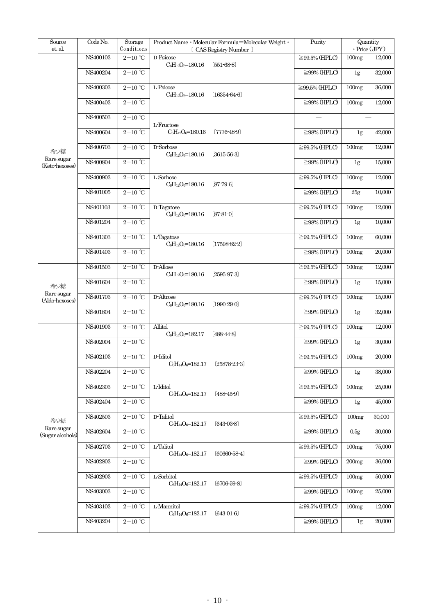| Source<br>et. al.              | Code No. | Storage<br>Conditions                  | Product Name · Molecular Formula=Molecular Weight ·<br>[ CAS Registry Number | Purity              |                   | Quantity<br>$\cdot$ Price (JPY) |
|--------------------------------|----------|----------------------------------------|------------------------------------------------------------------------------|---------------------|-------------------|---------------------------------|
|                                | NS400103 | $2-10$ °C                              | D-Psicose<br>$C_6H_{12}O_6=180.16$<br>$[551-68-8]$                           | $\geq$ 99.5% (HPLC) | 100mg             | 12,000                          |
|                                | NS400204 | $2-10$ ℃                               |                                                                              | $\geq$ 99% (HPLC)   | 1g                | 32,000                          |
|                                | NS400303 | $2-10$ ℃                               | L-Psicose<br>$C_6H_{12}O_6=180.16$<br>$[16354-64-6]$                         | $\geq$ 99.5% (HPLC) | 100mg             | 36,000                          |
|                                | NS400403 | $2-10$ ℃                               |                                                                              | $\geq$ 99% (HPLC)   | 100mg             | 12,000                          |
|                                | NS400503 | $2-10$ <sup>°</sup> C                  | L-Fructose                                                                   |                     |                   |                                 |
|                                | NS400604 | $2-10$ ℃                               | $C_6H_{12}O_6=180.16$<br>$[7776-48-9]$                                       | $\geq$ 98% (HPLC)   | 1 <sub>g</sub>    | 42,000                          |
| 希少糖                            | NS400703 | $2-10$ <sup>°</sup> C                  | $D$ -Sorbose<br>$C_6H_{12}O_6=180.16$<br>$[3615-56-3]$                       | $\geq$ 99.5% (HPLC) | 100mg             | 12,000                          |
| Rare sugar<br>(Keto-hexoses)   | NS400804 | $2-10$ ℃                               |                                                                              | $\geq$ 99% (HPLC)   | 1 <sub>g</sub>    | 15,000                          |
|                                | NS400903 | $2-10$ ℃                               | L-Sorbose<br>$C_6H_{12}O_6=180.16$<br>$[87 - 79 - 6]$                        | $\geq$ 99.5% (HPLC) | 100mg             | 12,000                          |
|                                | NS401005 | $2\mathrm{-}10$ $^\circ\!\mathrm{C}$   |                                                                              | $\geq$ 99% (HPLC)   | 25 <sub>g</sub>   | 10,000                          |
|                                | NS401103 | $2-10$ <sup>°</sup> C                  | D-Tagatose<br>$C_6H_{12}O_6=180.16$<br>$[87-81-0]$                           | $\geq$ 99.5% (HPLC) | 100mg             | 12,000                          |
|                                | NS401204 | $2-10$ ℃                               |                                                                              | $\geq$ 98% (HPLC)   | 1 <sub>g</sub>    | 10,000                          |
|                                | NS401303 | $2\mathrm{-}10\ ^{\circ}\!\mathrm{C}$  | L-Tagatose<br>$C_6H_{12}O_6=180.16$<br>$(17598 - 82 - 2)$                    | $\geq$ 99.5% (HPLC) | 100mg             | 60,000                          |
|                                | NS401403 | $2\text{--}10\text{ }^{\circ}\text{C}$ |                                                                              | $\geq$ 98% (HPLC)   | 100mg             | 20,000                          |
| 希少糖                            | NS401503 | $2-10$ ℃                               | D-Allose<br>$C_6H_{12}O_6=180.16$<br>$[2595-97-3]$                           | $\geq$ 99.5% (HPLC) | 100mg             | 12,000                          |
|                                | NS401604 | $2\text{--}10\text{ }^{\circ}\text{C}$ |                                                                              | $\geq$ 99% (HPLC)   | 1g                | 15,000                          |
| Rare sugar<br>(Aldo-hexoses)   | NS401703 | $2-10$ ℃                               | D-Altrose<br>$C_6H_{12}O_6=180.16$<br>$[1990-29-0]$                          | $\geq$ 99.5% (HPLC) | 100mg             | 15,000                          |
|                                | NS401804 | $2-10$ ℃                               |                                                                              | $\geq$ 99% (HPLC)   | 1 <sub>g</sub>    | 32,000                          |
|                                | NS401903 | $2-10$ <sup>°</sup> C                  | Allitol<br>$C_6H_{14}O_6=182.17$<br>$[488 - 44 - 8]$                         | $\geq$ 99.5% (HPLC) | 100mg             | 12,000                          |
|                                | NS402004 | $2-10$ ℃                               |                                                                              | $\geq$ 99% (HPLC)   | 1 <sub>g</sub>    | 30,000                          |
|                                | NS402103 | $2-10$ ℃                               | D-Iditol<br>$C_6H_{14}O_6=182.17$<br>$(25878 - 23 - 3)$                      | $\geq$ 99.5% (HPLC) | 100 <sub>mg</sub> | 20,000                          |
|                                | NS402204 | $2-10$ <sup>°</sup> C                  |                                                                              | $\geq$ 99% (HPLC)   | 1g                | 38,000                          |
|                                | NS402303 | $2\mathrm{-}10$ $^\circ\!\mathrm{C}$   | L-Iditol<br>$C_6H_{14}O_6=182.17$<br>$(488 - 45 - 9)$                        | $\geq$ 99.5% (HPLC) | 100mg             | 25,000                          |
|                                | NS402404 | $2\text{--}10\text{ }^{\circ}\text{C}$ |                                                                              | $\geq$ 99% (HPLC)   | 1g                | 45,000                          |
| 希少糖                            | NS402503 | $2-10$ °C                              | D-Talitol<br>$C_6H_{14}O_6=182.17$<br>$(643-03-8)$                           | $\geq$ 99.5% (HPLC) | 100mg             | 30,000                          |
| Rare sugar<br>(Sugar alcohols) | NS402604 | $2\mathrm{-}10$ $^\circ\!\mathrm{C}$   |                                                                              | $\geq$ 99% (HPLC)   | 0.5g              | 30,000                          |
|                                | NS402703 | $2\mathrm{-}10\ ^{\circ}\mathrm{C}$    | L-Talitol<br>$C_6H_{14}O_6=182.17$<br>$(60660-58-4)$                         | $\geq$ 99.5% (HPLC) | 100mg             | 75,000                          |
|                                | NS402803 | $2-10$ °C                              |                                                                              | $\geq$ 99% (HPLC)   | 200 <sub>mg</sub> | 36,000                          |
|                                | NS402903 | $2-10$ <sup>°</sup> C                  | L-Sorbitol<br>C6H14O6=182.17<br>$[6706-59-8]$                                | $\geq$ 99.5% (HPLC) | 100mg             | 50,000                          |
|                                | NS403003 | $2-10$ ℃                               |                                                                              | $\geq$ 99% (HPLC)   | 100mg             | 25,000                          |
|                                | NS403103 | $2\mathrm{-}10$ $^{\circ}\!\mathrm{C}$ | L-Mannitol<br>$C_6H_{14}O_6=182.17$<br>$(643-01-6)$                          | $\geq$ 99.5% (HPLC) | 100mg             | 12,000                          |
|                                | NS403204 | $2\mathrm{-}10$ $^\circ\!\mathrm{C}$   |                                                                              | $\geq$ 99% (HPLC)   | 1 <sub>g</sub>    | 20,000                          |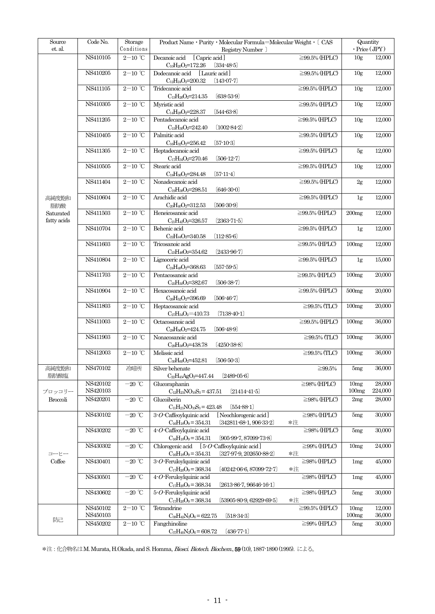| Source<br>et. al.         | Code No.             | Storage<br>Conditions                  | Product Name · Purity · Molecular Formula=Molecular Weight · [ CAS<br>Registry Number                          | Quantity<br>$\cdot$ Price (JPY) |                           |                   |
|---------------------------|----------------------|----------------------------------------|----------------------------------------------------------------------------------------------------------------|---------------------------------|---------------------------|-------------------|
|                           | NS410105             | $2\mathrm{-}10\ ^{\circ}\mathrm{C}$    | Decanoic acid<br>[Capric acid]                                                                                 | $\geq$ 99.5% (HPLC)             | 10 <sub>g</sub>           | 12,000            |
|                           | NS410205             | $2\text{--}10\text{ }^{\circ}\text{C}$ | $C_{10}H_{20}O_2=172.26$<br>$(334 - 48 - 5)$<br>Dodecanoic acid<br>[Lauric acid]                               | $\geq$ 99.5% (HPLC)             | 10 <sub>g</sub>           | 12,000            |
|                           | NS411105             | $2-10$ °C                              | $C_{12}H_{24}O_2=200.32$<br>$[143-07-7]$<br>Tridecanoic acid                                                   | $\geq$ 99.5% (HPLC)             | 10 <sub>g</sub>           | 12,000            |
|                           |                      |                                        | $C_{13}H_{26}O_2=214.35$<br>$(638-53-9)$                                                                       |                                 |                           |                   |
|                           | NS410305             | $2\text{--}10\text{ }^{\circ}\text{C}$ | Myristic acid<br>$C_{14}H_{28}O_2=228.37$<br>$[544-63-8]$                                                      | $\geq$ 99.5% (HPLC)             | 10 <sub>g</sub>           | 12,000            |
|                           | NS411205             | $2-10$ °C                              | Pentadecanoic acid<br>$C_{15}H_{30}O_2=242.40$<br>$(1002 - 84 - 2)$                                            | $\geq$ 99.5% (HPLC)             | 10 <sub>g</sub>           | 12,000            |
|                           | NS410405             | $2\text{--}10\text{ }^{\circ}\text{C}$ | Palmitic acid                                                                                                  | $\geq$ 99.5% (HPLC)             | 10 <sub>g</sub>           | 12,000            |
|                           | NS411305             | $2\text{--}10\text{ }^{\circ}\text{C}$ | $C_{16}H_{32}O_2=256.42$<br>$[57-10-3]$<br>Heptadecanoic acid                                                  | $\geq$ 99.5% (HPLC)             | 5g                        | 12,000            |
|                           | NS410505             | $2\text{--}10\text{ }^{\circ}\text{C}$ | $C_{17}H_{34}O_2=270.46$<br>$[506-12-7]$<br>Stearic acid                                                       | $\geq$ 99.5% (HPLC)             | 10 <sub>g</sub>           | 12,000            |
|                           |                      |                                        | $C_{18}H_{36}O_2=284.48$<br>$[57-11-4]$                                                                        |                                 |                           |                   |
|                           | NS411404             | $2\text{--}10\text{ }^{\circ}\text{C}$ | Nonadecanoic acid<br>$C_{19}H_{38}O_2=298.51$<br>$(646-30-0)$                                                  | $\geq$ 99.5% (HPLC)             | 2g                        | 12,000            |
| 高純度飽和<br>脂肪酸              | NS410604             | $2-10$ °C                              | Arachidic acid<br>$C_{20}H_{40}O_2=312.53$<br>$[506-30-9]$                                                     | $\geq$ 99.5% (HPLC)             | 1g                        | 12,000            |
| Saturated                 | NS411503             | $2\text{--}10\text{ }^{\circ}\text{C}$ | Heneicosanoic acid                                                                                             | $\geq$ 99.5% (HPLC)             | 200 <sub>mg</sub>         | 12,000            |
| fatty acids               | NS410704             | $2-10$ °C                              | $[2363-71-5]$<br>$C_{21}H_{42}O_2=326.57$<br>Behenic acid                                                      | $\geq$ 99.5% (HPLC)             | 1g                        | 12,000            |
|                           | NS411603             | $2-10$ ℃                               | $C_{22}H_{44}O_2=340.58$<br>$(112 - 85 - 6)$<br>Tricosanoic acid                                               | $\geq$ 99.5% (HPLC)             | 100mg                     | 12,000            |
|                           |                      |                                        | $C_{23}H_{46}O_2=354.62$<br>$[2433-96-7]$                                                                      |                                 |                           |                   |
|                           | NS410804             | $2\mathrm{-}10$ $^\circ\!\mathrm{C}$   | Lignoceric acid<br>$C_{24}H_{48}O_2=368.63$<br>$[557-59-5]$                                                    | $\overline{\geq}$ 99.5% (HPLC)  | 1g                        | 15,000            |
|                           | NS411703             | $2\mathrm{-}10\ ^{\circ}\mathrm{C}$    | Pentacosanoic acid<br>$[506-38-7]$<br>$C_{25}H_{50}O_2=382.67$                                                 | $\geq$ 99.5% (HPLC)             | 100mg                     | 20,000            |
|                           | NS410904             | $2-10$ °C                              | Hexacosanoic acid                                                                                              | $\geq$ 99.5% (HPLC)             | 500mg                     | 20,000            |
|                           | NS411803             | $2-10$ °C                              | C <sub>26</sub> H <sub>52</sub> O <sub>2</sub> =396.69<br>$[506-46-7]$<br>Heptacosanoic acid                   | $\geq$ 99.5% (TLC)              | 100mg                     | 20,000            |
|                           | NS411003             | $2\text{--}10\text{ }^{\circ}\text{C}$ | $C_{27}H_{54}O_2=410.73$<br>$(7138-40-1)$<br>Octacosanoic acid                                                 | $\geq$ 99.5% (HPLC)             | 100mg                     | 36,000            |
|                           |                      |                                        | $C_{28}H_{56}O_2=424.75$<br>$[506-48-9]$                                                                       |                                 |                           |                   |
|                           | NS411903             | $2\text{--}10\text{ }^{\circ}\text{C}$ | Nonacosanoic acid<br>$C_{29}H_{58}O_2=438.78$<br>$[4250-38-8]$                                                 | $\geq$ 99.5% (TLC)              | 100mg                     | 36,000            |
|                           | NS412003             | $2-10$ ℃                               | Melissic acid<br>$C_{30}H_{60}O_2=452.81$<br>$[506-50-3]$                                                      | $\geq$ 99.5% (TLC)              | 100mg                     | 36,000            |
| 高純度飽和                     | NS470102             | 冷暗所                                    | Silver behenate                                                                                                | ≥99.5%                          | 5mg                       | 36,000            |
| 脂肪酸塩                      | NS420102             | $-20$ °C                               | $[2489\ 05\ 6]$<br>$C_{22}H_{43}AgO_2=447.44$<br>Glucoraphanin                                                 | $\geq$ 98% (HPLC)               | 10mg                      | 28,000            |
| ブロッコリー<br><b>Broccoli</b> | NS420103<br>NS420201 | $-20$ °C                               | $C_{12}H_{23}NO_{10}S_3 = 437.51$<br>$[21414-41-5]$<br>Glucoiberin                                             | $\geq$ 98% (HPLC)               | 100mg<br>2mg              | 224,000<br>28,000 |
|                           |                      |                                        | $C_{11}H_{21}NO_{10}S_3 = 423.48$<br>$(554 - 88 - 1)$                                                          |                                 |                           |                   |
|                           | NS430102             | $-20$ °C                               | [Neochlorogenic acid]<br>$3-O$ -Caffeoylquinic acid<br>$C_{16}H_{18}O_9 = 354.31$<br>$[342811-68-1, 906-33-2]$ | $\geq$ 98% (HPLC)<br>*注         | 5mg                       | 30,000            |
|                           | NS430202             | $-20$ °C                               | $4-O$ -Caffeoylquinic acid<br>$C_{16}H_{18}O_9 = 354.31$<br>$(905-99-7, 87099-73-8)$                           | $\geq$ 98% (HPLC)               | 5mg                       | 30,000            |
|                           | NS430302             | $-20$ °C                               | Chlorogenic acid<br>$[5-O$ -Caffeoylquinic acid                                                                | $\geq$ 99% (HPLC)               | 10 <sub>mg</sub>          | 24,000            |
| コーヒー<br>Coffee            | NS430401             | $-20$ $^{\circ}\!{\rm C}$              | $C_{16}H_{18}O_9 = 354.31$<br>$[327-97-9, 202650-88-2]$<br>$3-O$ Feruloylquinic acid                           | *注<br>$\geq$ 98% (HPLC)         | 1mg                       | 45,000            |
|                           | NS430501             | $-20$ °C                               | $C_{17}H_{20}O_9 = 368.34$<br>$[40242-06-6, 87099-72-7]$<br>$4-O$ -Feruloylquinic acid                         | *注<br>$\geq$ 98% (HPLC)         | 1mg                       | 45,000            |
|                           |                      |                                        | $C_{17}H_{20}O_9 = 368.34$<br>$[2613-86-7, 96646-16-1]$                                                        |                                 |                           |                   |
|                           | NS430602             | $-20$ °C                               | $5-O$ -Feruloylquinic acid<br>$C_{17}H_{20}O_9 = 368.34$<br>$[53905-80-9, 62929-69-5]$                         | $\geq$ 98% (HPLC)<br>*注         | 5mg                       | 30,000            |
|                           | NS450102<br>NS450103 | $2\mathrm{-}10\ ^{\circ}\!\mathrm{C}$  | Tetrandrine<br>$C_{38}H_{42}N_2O_6 = 622.75$<br>$(518-34-3)$                                                   | $\geq$ 99.5% (HPLC)             | 10 <sub>mg</sub><br>100mg | 12,000<br>36,000  |
| 防己                        | NS450202             | $2\mathrm{-}10\ ^{\circ}\!\mathrm{C}$  | Fangchinoline                                                                                                  | $\geq$ 99% (HPLC)               | 5mg                       | 30,000            |
|                           |                      |                                        | $C_{37}H_{40}N_2O_6 = 608.72$<br>$(436-77-1)$                                                                  |                                 |                           |                   |

\*注:化合物名はM. Murata, H.Okada, and S. Homma, Biosci. Biotech. Biochem., 59 (10), 1887-1890 (1995). による。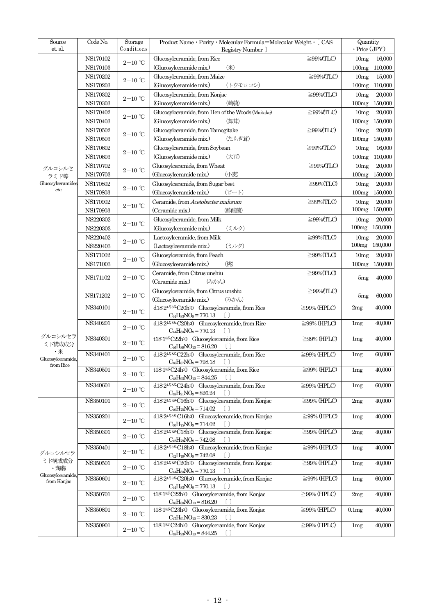| Source<br>et. al. | Code No.       | Storage<br>Conditions                  | Product Name · Purity · Molecular Formula=Molecular Weight · [ CAS<br>Registry Number      |                   | Quantity<br>$\cdot$ Price (JPY) |                         |
|-------------------|----------------|----------------------------------------|--------------------------------------------------------------------------------------------|-------------------|---------------------------------|-------------------------|
|                   | NS170102       |                                        | Glucosylceramide, from Rice                                                                | $\geq$ 99%(TLC)   | 10mg                            | 16,000                  |
|                   | NS170103       | $2\mathrm{-}10$ $^{\circ}\!\mathrm{C}$ | (Glucosylceramide mix.)<br>$(* )$                                                          |                   | 100mg                           | 110,000                 |
|                   | NS170202       |                                        | Glucosylceramide, from Maize                                                               | $\geq$ 99%(TLC)   | 10mg                            | 15,000                  |
|                   | NS170203       | $2-10$ ℃                               |                                                                                            |                   |                                 |                         |
|                   |                |                                        | (Glucosylceramide mix.)<br>(トウモロコシ)                                                        |                   | 100mg                           | 110,000                 |
|                   | NS170302       | $2\text{--}10\text{ }^{\circ}\text{C}$ | Glucosylceramide, from Konjac                                                              | $\geq$ 99%(TLC)   | 10mg                            | 20,000                  |
|                   | NS170303       |                                        | (蒟蒻)<br>(Glucosylceramide mix.)                                                            |                   | 100mg                           | 150,000                 |
|                   | NS170402       | $2-10$ °C                              | Glucosylceramide, from Hen of the Woods (Maitake)                                          | $\geq$ 99%(TLC)   | 10mg                            | 20,000                  |
|                   | NS170403       |                                        | (Glucosylceramide mix.)<br>(舞茸)                                                            |                   | 100mg                           | 150,000                 |
|                   | NS170502       | $2\text{--}10\text{ }^{\circ}\text{C}$ | Glucosylceramide, from Tamogitake                                                          | $\geq$ 99%(TLC)   | 10mg                            | 20,000                  |
|                   | NS170503       |                                        | (Glucosylceramide mix.)<br>(たもぎ茸)                                                          |                   | 100mg                           | 150,000                 |
|                   | NS170602       | $2\mathrm{-}10$ $^{\circ}\!\mathrm{C}$ | Glucosylceramide, from Soybean                                                             | $\geq$ 99%(TLC)   | 10mg                            | 16,000                  |
|                   | NS170603       |                                        | (大豆)<br>(Glucosylceramide mix.)                                                            |                   | 100mg                           | 110,000                 |
| グルコシルセ            | NS170702       |                                        | Glucosylceramide, from Wheat                                                               | $\geq$ 99%(TLC)   | 10mg                            | 20,000                  |
| ラミド等              | NS170703       | $2\mathrm{-}10\ ^{\circ}\mathrm{C}$    | (Glucosylceramide mix.)<br>(小麦)                                                            |                   | 100mg                           | 150,000                 |
| Glucosylceramides | NS170802       |                                        | Glucosylceramide, from Sugar beet                                                          | $\geq$ 99%(TLC)   | 10mg                            | 20,000                  |
| etc.              | $\rm NS170803$ | $2-10$ °C                              | $(E - b)$<br>(Glucosylceramide mix.)                                                       |                   | 100mg                           | 150,000                 |
|                   | NS170902       |                                        | Ceramide, from Acetobacter malorum                                                         | $\geq$ 99%(TLC)   | 10mg                            | 20,000                  |
|                   |                | $2\mathrm{-}10$ $^\circ\!\mathrm{C}$   |                                                                                            |                   | 100mg                           | 150,000                 |
|                   | NS170903       |                                        | (酢酸菌)<br>(Ceramide mix.)                                                                   |                   |                                 |                         |
|                   | NS220302       | $2-10$ °C                              | Glucosylceramide, from Milk                                                                | $\geq$ 99%(TLC)   | 10mg                            | 20,000<br>100mg 150,000 |
|                   | NS220303       |                                        | (Glucosylceramide mix.)<br>(ミルク)                                                           |                   |                                 |                         |
|                   | NS220402       | $2-10$ °C                              | Lactosylceramide, from Milk                                                                | $\geq$ 99%(TLC)   | 10mg                            | 20,000                  |
|                   | NS220403       |                                        | (Lactosylceramide mix.)<br>(ミルク)                                                           |                   | 100mg                           | 150,000                 |
|                   | NS171002       | $2\mathrm{-}10$ $^{\circ}\!\mathrm{C}$ | Glucosylceramide, from Peach                                                               | $\geq$ 99%(TLC)   | 10mg                            | 20,000                  |
|                   | NS171003       |                                        | (Glucosylceramide mix.)<br>(桃)                                                             |                   | 100mg                           | 150,000                 |
|                   |                |                                        | Ceramide, from Citrus unshiu                                                               | $\geq$ 99%(TLC)   |                                 |                         |
|                   | NS171102       | $2-10$ °C                              | (Ceramide mix.)<br>(みかん)                                                                   |                   | 5mg                             | 40,000                  |
|                   |                |                                        | Glucosylceramide, from Citrus unshiu                                                       | $\geq$ 99%(TLC)   |                                 |                         |
|                   | NS171202       | $2-10$ ℃                               | (Glucosylceramide mix.)<br>(みかん)                                                           |                   | 5mg                             | 60,000                  |
|                   | NS340101       |                                        | $d18:2^{4E8Z}$ C20h <sup>:0</sup> Glucosylceramide, from Rice                              | $\geq$ 99% (HPLC) | 2mg                             | 40,000                  |
|                   |                | $2\text{--}10\text{ }^{\circ}\text{C}$ | $C_{44}H_{83}NO_9 = 770.13$                                                                |                   |                                 |                         |
|                   | NS340201       | $2\mathrm{-}10$ $^\circ\!\mathrm{C}$   | $d18:2^{4E8E}$ C20h <sup>:</sup> 0 Glucosylceramide, from Rice                             | $\geq$ 99% (HPLC) | 1mg                             | 40,000                  |
| グルコシルセラ           |                |                                        | $C_{44}H_{83}NO_9 = 770.13$                                                                |                   |                                 |                         |
| ミド構成成分            | NS340301       | $2\text{--}10\text{ }^{\circ}\text{C}$ | t18:182 C22h:0 Glucosylceramide, from Rice                                                 | $\geq$ 99% (HPLC) | 1mg                             | 40,000                  |
| $\cdot$ $*$       |                |                                        | $C_{46}H_{89}NO_{10} = 816.20$<br>- 11                                                     |                   |                                 |                         |
| Glucosylceramide, | NS340401       | $2\mathrm{-}10$ $^\circ\!\mathrm{C}$   | d18:24E8Z-C22h:0 Glucosylceramide, from Rice                                               | $\geq$ 99% (HPLC) | 1mg                             | 60,000                  |
| from Rice         | NS340501       |                                        | $C_{46}H_{87}NO_9 = 798.18$ []<br>t18:18ZC24h:0 Glucosylceramide, from Rice                | $\geq$ 99% (HPLC) | 1mg                             | 40,000                  |
|                   |                | $2\text{--}10\text{ }^{\circ}\text{C}$ | $C_{48}H_{93}NO_{10} = 844.25$                                                             |                   |                                 |                         |
|                   | NS340601       |                                        | $d18:24E8Z$ C24h:0 Glucosylceramide, from Rice                                             | $\geq$ 99% (HPLC) | 1mg                             | 60,000                  |
|                   |                | $2\mathrm{-}10\ ^{\circ}\mathrm{C}$    | $C_{48}H_{91}NO_9 = 826.24$<br>$\Box$                                                      |                   |                                 |                         |
|                   | NS350101       |                                        | d18:2 <sup>4E8Z</sup> C16h:0 Glucosylceramide, from Konjac                                 | $\geq$ 99% (HPLC) | 2mg                             | 40,000                  |
|                   |                | $2\text{--}10\text{ }^{\circ}\text{C}$ | $C_{40}H_{75}NO_9 = 714.02$                                                                |                   |                                 |                         |
|                   | NS350201       | $2\mathrm{-}10$ $^\circ\!\mathrm{C}$   | d18:24E8E C16h:0 Glucosylceramide, from Konjac                                             | $\geq$ 99% (HPLC) | 1mg                             | 40,000                  |
|                   |                |                                        | $C_{40}H_{75}NO_9 = 714.02$                                                                |                   |                                 |                         |
|                   | NS350301       | $2\text{--}10\text{ }^{\circ}\text{C}$ | d18:24E8ZC18h:0 Glucosylceramide, from Konjac                                              | $\geq$ 99% (HPLC) | 2mg                             | 40,000                  |
|                   |                |                                        | $C_{42}H_{79}NO_9 = 742.08$<br>$\Box$                                                      |                   |                                 |                         |
| グルコシルセラ           | NS350401       | $2-10$ °C                              | $d18:2^{4E8E}C18h.0$ Glucosylceramide, from Konjac                                         | $\geq$ 99% (HPLC) | 1mg                             | 40,000                  |
| ミド構成成分            |                |                                        | $C_{42}H_{79}NO_9 = 742.08$<br>$\lceil$                                                    |                   |                                 |                         |
| · 蒟蒻              | NS350501       | $2-10$ ℃                               | d18:24E8ZC20h:0 Glucosylceramide, from Konjac<br>$C_{44}H_{83}NO_9 = 770.13$<br>$\lceil$ ) | $\geq$ 99% (HPLC) | 1mg                             | 40,000                  |
| Glucosylceramide, | NS350601       |                                        | d18:24E8EC20h:0 Glucosylceramide, from Konjac                                              | $\geq$ 99% (HPLC) | 1mg                             | 60,000                  |
| from Konjac       |                | $2-10$ °C                              | $C_{44}H_{83}NO_9 = 770.13$<br>$\Box$                                                      |                   |                                 |                         |
|                   | NS350701       |                                        | t18:18ZC22h:0 Glucosylceramide, from Konjac                                                | $\geq$ 99% (HPLC) | 2mg                             | 40,000                  |
|                   |                | $2\mathrm{-}10$ $^\circ\!\mathrm{C}$   | $C_{46}H_{89}NO_{10} = 816.20$                                                             |                   |                                 |                         |
|                   | NS350801       |                                        | t18:18ZC23h:0 Glucosylceramide, from Konjac                                                | $\geq$ 99% (HPLC) | 0.1 <sub>mg</sub>               | 40,000                  |
|                   |                | $2\text{--}10\text{ }^{\circ}\text{C}$ | $C_{47}H_{91}NO_{10} = 830.23$<br>$\lceil$ $\rceil$                                        |                   |                                 |                         |
|                   | NS350901       | $2\mathrm{-}10$ $^\circ\!\mathrm{C}$   | t18:182C24h:0 Glucosylceramide, from Konjac                                                | $\geq$ 99% (HPLC) | 1mg                             | 40,000                  |
|                   |                |                                        | $C_{48}H_{93}NO_{10} = 844.25$<br>$\Box$                                                   |                   |                                 |                         |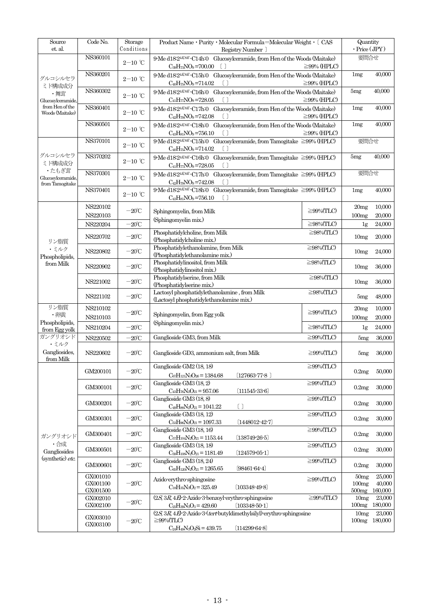| Source<br>et. al.                             | Code No.                         | Storage<br>Conditions                  | Registry Number 1                                                                                                                                  | Product Name · Purity · Molecular Formula=Molecular Weight · [ CAS                           |                                                |                             |  |  |  |
|-----------------------------------------------|----------------------------------|----------------------------------------|----------------------------------------------------------------------------------------------------------------------------------------------------|----------------------------------------------------------------------------------------------|------------------------------------------------|-----------------------------|--|--|--|
|                                               | NS360101                         | $2\text{--}10\text{ }^{\circ}\text{C}$ | 9-Me d18:2 <sup>4E8E</sup> -C14h:0 Glucosylceramide, from Hen of the Woods (Maitake)<br>$C_{39}H_{73}NO_9 = 700.00$                                | $\geq$ 99% (HPLC)                                                                            | 要問合せ                                           |                             |  |  |  |
| グルコシルセラ                                       | NS360201                         | $2\text{--}10\text{ }^{\circ}\text{C}$ | 9-Me d182 <sup>4E8E</sup> -C15h:0 Glucosylceramide, from Hen of the Woods (Maitake)<br>$C_{40}H_{75}NO_9 = 714.02$<br>$\Box$                       | $\geq$ 99% (HPLC)                                                                            | 1mg                                            | 40.000                      |  |  |  |
| ミド構成成分<br>・舞茸<br>Glucosylceramide,            | NS360302                         | $2-10$ °C                              | 9-Me d18:2 <sup>4E8E</sup> -C16h:0 Glucosylceramide, from Hen of the Woods (Maitake)<br>$C_{41}H_{77}NO_9 = 728.05$<br>$[\ ]$                      | $\geq$ 99% (HPLC)                                                                            | 5mg                                            | 40,000                      |  |  |  |
| from Hen of the<br>Woods (Maitake)            | NS360401                         | $2\mathrm{-}10\ ^{\circ}\mathrm{C}$    | $C_{42}H_{79}NO_9 = 742.08$<br>ſΙ                                                                                                                  | 9-Me d18-24E8E-C17h:0 Glucosylceramide, from Hen of the Woods (Maitake)<br>$\geq$ 99% (HPLC) |                                                |                             |  |  |  |
|                                               | NS360501                         | $2-10$ ℃                               | $C_{43}H_{81}NO_9 = 756.10$<br>ſΙ                                                                                                                  | 9-Me d18:24E8E-C18h:0 Glucosylceramide, from Hen of the Woods (Maitake)<br>$\geq$ 99% (HPLC) |                                                |                             |  |  |  |
|                                               | NS370101                         | $2-10$ ℃                               | 9 Me d18 $2^{4E8E}$ C15h 0 Glucosylceramide, from Tamogitake $\geq$ 99% (HPLC)<br>$C_{40}H_{75}NO_9 = 714.02$<br>$\Box$                            |                                                                                              | 要問合せ                                           |                             |  |  |  |
| グルコシルセラ<br>ミド構成成分                             | NS370202                         | $2\mathrm{-}10\ ^{\circ}\mathrm{C}$    | 9 Me d18 2 <sup>4E8E</sup> C16h:0 Glucosylceramide, from Tamogitake ≧99% (HPLC)<br>$C_{41}H_{77}NO_9 = 728.05$<br>$[\ ]$                           |                                                                                              | 5mg                                            | 40,000                      |  |  |  |
| ・たもぎ茸<br>Glucosylceramide,<br>from Tamogitake | NS370301                         | $2-10$ ℃                               | 9-Me d18 <sup>24E8E</sup> -C17h:0 Glucosylceramide, from Tamogitake $\geq$ 99% (HPLC)<br>$C_{42}H_{79}NO_9 = 742.08$                               |                                                                                              | 要問合せ                                           |                             |  |  |  |
|                                               | NS370401                         | $2\mathrm{-}10\ ^{\circ}\mathrm{C}$    | 9-Me d182 <sup>4E8E</sup> -C18h:0 Glucosylceramide, from Tamogitake ≧99% (HPLC)<br>$C_{43}H_{81}NO_9 = 756.10$<br>$\Box$                           |                                                                                              | 1mg                                            | 40,000                      |  |  |  |
|                                               | NS220102<br>NS220103             | $-20^{\circ}$ C                        | Sphingomyelin, from Milk                                                                                                                           | $\geq$ 99%(TLC)                                                                              | 20mg<br>100mg                                  | 10,000<br>20,000            |  |  |  |
|                                               | NS220204                         | $-20^{\circ}$ C                        | (Sphingomyelin mix.)                                                                                                                               | $\geq$ 98%(TLC)                                                                              | 1 <sub>g</sub>                                 | 24,000                      |  |  |  |
| リン脂質                                          | NS220702                         | $-20^{\circ}$ C                        | Phosphatidylcholine, from Milk<br>(Phosphatidylcholine mix.)                                                                                       | $\geq$ 98%(TLC)                                                                              | 10mg                                           | 20,000                      |  |  |  |
| ・ミルク<br>Phospholipids,                        | NS220802                         | $-20^{\circ}$ C                        | Phosphatidylethanolamine, from Milk<br>(Phosphatidylethanolamine mix.)                                                                             | $\geq$ 98%(TLC)                                                                              | 10mg                                           | 24,000                      |  |  |  |
| from Milk<br>NS220902                         |                                  | $-20^{\circ}$ C                        | Phosphatidylinositol, from Milk<br>(Phosphatidylinositol mix.)                                                                                     | 10mg                                                                                         | 36,000                                         |                             |  |  |  |
|                                               | NS221002                         | $-20^{\circ}$ C                        | Phosphatidylserine, from Milk<br>(Phosphatidylserine mix.)                                                                                         | $\geq$ 98%(TLC)                                                                              | 10mg                                           | 36,000                      |  |  |  |
|                                               | NS221102                         | $-20^{\circ}$ C                        | Lactosyl phosphatidylethanolamine, from Milk<br>(Lactosyl phosphatidylethanolamine mix.)                                                           | $\geq$ 98%(TLC)                                                                              | 5mg                                            | 48,000                      |  |  |  |
| リン脂質<br>・卵黄                                   | NS210102<br>NS210103             | $-20^{\circ}$ C                        | Sphingomyelin, from Egg yolk                                                                                                                       | $\geq$ 99%(TLC)                                                                              | 20mg<br>100mg                                  | 10,000<br>20,000            |  |  |  |
| Phospholipids,<br>from Egg yolk               | NS210204                         | $-20^{\circ}$ C                        | (Sphingomyelin mix.)                                                                                                                               | $\geq$ 98%(TLC)                                                                              | 1g                                             | 24,000                      |  |  |  |
| ガングリオンド                                       | NS220502                         | $-20^{\circ}$ C                        | Ganglioside GM3, from Milk                                                                                                                         | $\geq$ 99%(TLC)                                                                              | 5mg                                            | 36,000                      |  |  |  |
| ・ミルク<br>Gangliosides,<br>from Milk            | NS220602                         | $-20^{\circ}$ C                        | Ganglioside GD3, ammonium salt, from Milk                                                                                                          | $\geq$ 99%(TLC)                                                                              | 5mg                                            | 36,000                      |  |  |  |
|                                               | GM200101                         | $-20^{\circ}\!{\rm C}$                 | Ganglioside GM2 (18, 18)<br>$C_{67}H_{121}N_3O_{26}=1384.68$<br>$(127663 - 77 - 8)$                                                                | $\geq$ 99%(TLC)                                                                              | 0.2mg                                          | 50,000                      |  |  |  |
|                                               | GM300101                         | $-20^{\circ}\!{\rm C}$                 | Ganglioside GM3 (18, 2)<br>$C_{43}H_{76}N_2O_{21}=957.06$<br>$(111545-33-6)$                                                                       | $\geq$ 99%(TLC)                                                                              | 0.2mg                                          | 30,000                      |  |  |  |
|                                               | GM300201                         | $-20^{\circ}$ C                        | Ganglioside GM3 (18, 8)<br>ſΙ<br>$C_{49}H_{88}N_2O_{21}=1041.22$                                                                                   | $\geq$ 99%(TLC)                                                                              | 0.2mg                                          | 30,000                      |  |  |  |
|                                               | GM300301                         | $-20^{\circ}$ C                        | Ganglioside GM3 (18, 12)<br>$C_{53}H_{96}N_2O_{21} = 1097.33$<br>$[1448012 - 42 - 7]$                                                              | $\geq$ 99%(TLC)                                                                              | 0.2mg                                          | 30,000                      |  |  |  |
| ガングリオシド                                       | GM300401                         | $-20^{\circ}$ C                        | Ganglioside GM3 (18, 16)<br>$C_{57}H_{104}N_2O_{21} = 1153.44$<br>$(138749-26-5)$                                                                  | $\geq$ 99%(TLC)                                                                              | 0.2mg                                          | 30,000                      |  |  |  |
| ・合成<br>Gangliosides                           | GM300501                         | $-20^{\circ}$ C                        | Ganglioside GM3 (18, 18)<br>$C_{59}H_{108}N_2O_{21} = 1181.49$<br>$(124579-05-1)$                                                                  | $\geq$ 99%(TLC)                                                                              | 0.2mg                                          | 30,000                      |  |  |  |
| (synthetic) etc.                              | GM300601                         | $-20^{\circ}$ C                        | Ganglioside GM3 (18, 24)<br>$C_{65}H_{120}N_2O_{21}=1265.65$<br>$(98461 - 64 - 4)$                                                                 | $\geq$ 99%(TLC)                                                                              | 0.2mg                                          | 30,000                      |  |  |  |
|                                               | GX001010<br>GX001100<br>GX001500 | $-20^{\circ}$ C                        | Azido erythro sphingosine<br>$C_{18}H_{35}N_3O_2 = 325.49$<br>$(103348 - 49 - 8)$                                                                  | $\geq$ 99%(TLC)                                                                              | 50 <sub>mg</sub><br>100mg<br>500 <sub>mg</sub> | 25,000<br>40,000<br>160,000 |  |  |  |
|                                               | ${\rm GX}002010$<br>GX002100     | $-20^{\circ}$ C                        | $(2S, 3R, 4E)$ 2 Azido 3 benzoyl erythro sphingosine<br>$C_{25}H_{39}N_3O_3 = 429.60$<br>$(103348 - 50 - 1)$                                       | $\geq$ 99%(TLC)                                                                              | 10mg<br>100mg                                  | 23,000<br>180,000           |  |  |  |
|                                               | GX003010<br>GX003100             | $-20^{\circ}$ C                        | $(2S, 3R, 4E)$ -2-Azido-3- $text$ butyldimethylsilyl)-erythro-sphingosine<br>$\geq$ 99%(TLC)<br>$C_{24}H_{49}N_3O_2Si = 439.75$<br>$(114299-64-8)$ |                                                                                              | 10mg                                           | 23,000<br>100mg 180,000     |  |  |  |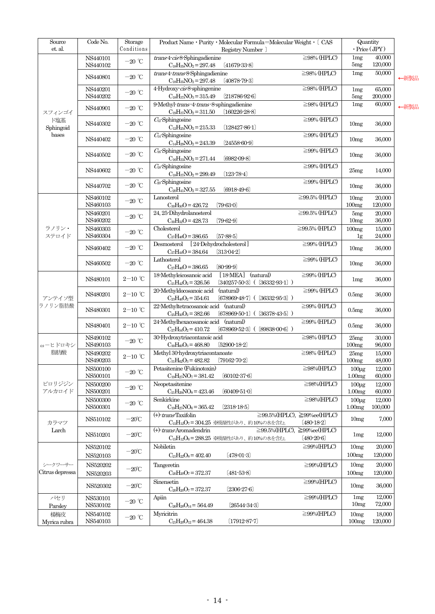| $\overline{\text{Source}}$<br>et. al. | Code No.                   | Storage<br>Conditions                  | Product Name · Purity · Molecular Formula=Molecular Weight · [ CAS<br>Registry Number ]                                 | Quantity<br>$\cdot$ Price (JPY)                        |                                         |                   |
|---------------------------------------|----------------------------|----------------------------------------|-------------------------------------------------------------------------------------------------------------------------|--------------------------------------------------------|-----------------------------------------|-------------------|
|                                       | NS440101<br>NS440102       | $-20~^{\circ}\textrm{C}$               | $trans4\text{-}cis8\text{-}Sphingadienine$<br>$C_{18}H_{35}NO_2 = 297.48$<br>$[41679-33-8]$                             | $\geq$ 98% (HPLC)                                      | 1mg<br>5mg                              | 40,000<br>120,000 |
|                                       | NS440801                   | $-20\ ^{\circ}\!{\rm C}$               | trans 4-trans 8-Sphingadienine<br>$C_{18}H_{35}NO_2 = 297.48$<br>$(40878-79-3)$                                         | $\geq$ 98% (HPLC)                                      | 1mg                                     | 50,000            |
|                                       | NS440201<br>NS440202       | $-20$ °C                               | 4-Hydroxy-cis-8-sphingenine<br>$C_{18}H_{37}NO_3 = 315.49$<br>(218786.92.6)                                             | $\geq$ 98% (HPLC)                                      | 1mg<br>5mg                              | 65,000<br>200,000 |
| スフィンゴイ                                | NS440901                   | $-20$ °C                               | 9-Methyl-trans-4-trans-8-sphingadienine<br>$C_{19}H_{37}NO_2 = 311.50$<br>$[160226-28-8]$                               | $\geq$ 98% (HPLC)                                      | 1mg                                     | 60,000            |
| ド塩基<br>Sphingoid                      | NS440302                   | $-20\ ^\circ\text{C}$                  | $C_{12}$ -Sphingosine<br>$C_{12}H_{25}NO_2 = 215.33$<br>$(128427 - 86 - 1)$                                             | $\geq$ 99% (HPLC)                                      | 10 <sub>mg</sub>                        | 36,000            |
| bases                                 | NS440402                   | $-20~^{\circ}\mathrm{C}$               | $C4$ Sphingosine<br>$C_{14}H_{29}NO_2 = 243.39$<br>$(24558-60-9)$                                                       | $\geq$ 99% (HPLC)                                      | 10 <sub>mg</sub>                        | 36,000            |
|                                       | NS440502                   | $-20$ °C                               | $C16$ Sphingosine<br>$C_{16}H_{33}NO_2 = 271.44$<br>$(6982 - 09 - 8)$                                                   | $\geq$ 99% (HPLC)                                      | 10 <sub>mg</sub>                        | 36,000            |
|                                       | NS440602                   | $-20$ °C                               | $C_{18}$ Sphingosine<br>$C_{18}H_{37}NO_2 = 299.49$<br>$(123-78-4)$                                                     | $\geq$ 99% (HPLC)                                      | 25mg                                    | 14,000            |
|                                       | NS440702                   | $-20~^{\circ}\textrm{C}$               | $C20$ Sphingosine<br>$C_{20}H_{41}NO_2 = 327.55$<br>$(6918 - 49 - 6)$                                                   | $\geq$ 99% (HPLC)                                      | 10 <sub>mg</sub>                        | 36,000            |
|                                       | NS460102<br>NS460103       | $-20$ °C                               | Lanosterol<br>$C_{30}H_{50}O = 426.72$<br>$[79-63-0]$                                                                   | $\geq$ 99.5% (HPLC)                                    | 10mg<br>100mg                           | 20,000<br>120,000 |
|                                       | NS460201<br>NS460202       | $-20$ °C                               | 24, 25-Dihydrolanosterol<br>$C_{30}H_{52}O = 428.73$<br>$(79 - 62 - 9)$                                                 | $\geq$ 99.5% (HPLC)                                    | 5mg<br>10 <sub>mg</sub>                 | 20,000<br>36,000  |
| ラノリン・<br>ステロイド                        | $\rm NS460303$<br>NS460304 | $-20$ °C                               | Cholesterol<br>$C_{27}H_{46}O = 386.65$<br>$[57-88-5]$                                                                  | $\geq$ 99.5% (HPLC)                                    | 100 <sub>mg</sub><br>1 <sub>g</sub>     | 15,000<br>24,000  |
|                                       | NS460402                   | $-20$ °C                               | [24-Dehydrocholesterol]<br>Desmosterol<br>$C_{27}H_{44}O = 384.64$<br>$[313-04-2]$                                      | $\geq$ 99% (HPLC)                                      | 10 <sub>mg</sub>                        | 36,000            |
|                                       | NS460502                   | $-20$ $^{\circ}\!{\rm C}$              | Lathosterol<br>$C_{27}H_{46}O = 386.65$<br>$[80-99-9]$                                                                  | $\geq$ 99% (HPLC)                                      | 10 <sub>mg</sub>                        | 36,000            |
|                                       | NS480101                   | $2\mathrm{-}10$ $^\circ\!\mathrm{C}$   | (natural)<br>$[18-MEA]$<br>18-Methyleicosanoic acid<br>$[340257-50-3]$ ( $[36332-93-1]$ )<br>$C_{21}H_{42}O_2 = 326.56$ | $\geq$ 99% (HPLC)                                      | 1mg                                     | 36,000            |
| アンテイソ型                                | NS480201                   | $2-10$ °C                              | (natural)<br>20-Methyldocosanoic acid<br>$C_{23}H_{46}O_2 = 354.61$<br>$(678969-48-7)$ (<br>$(36332.95.3)$ )            | $\geq$ 99% (HPLC)                                      | 0.5mg                                   | 36,000            |
| ラノリン脂肪酸                               | NS480301                   | $2\mathrm{-}10$ $^{\circ}\!\mathrm{C}$ | 22-Methyltetracosanoic acid (natural)<br>$(678969-50-1)$ ( $(36378-43-5)$ )<br>$C_{25}H_{50}O_2 = 382.66$               | $\geq$ 99% (HPLC)                                      | 0.5mg                                   | 36,000            |
|                                       | NS480401                   | $2-10$ °C                              | 24-Methylhexacosanoic acid<br>(natural)<br>$C_{27}H_{54}O_2 = 410.72$<br>$(678969-52-3)$ (<br>$(89838-00-6)$ )          | $\geq$ 99% (HPLC)                                      | 0.5mg                                   | 36,000            |
| ω-ヒドロキシ                               | NS490102<br>NS490103       | $-20~^{\circ}\mathrm{C}$               | 30-Hydroxytriacontanoic acid<br>$[52900-18-2]$<br>$C_{30}H_{60}O_3 = 468.80$                                            | $\geq$ 98% (HPLC)                                      | 25mg<br>100mg                           | 30,000<br>96,000  |
| 脂肪酸                                   | NS490202<br>NS490203       | $2\mathrm{-}10\ ^{\circ}\!\mathrm{C}$  | Methyl 30-hydroxytriacontanoate<br>$C_{31}H_{62}O_3 = 482.82$<br>$(79162 - 70 - 2)$                                     | $\geq$ 98% (HPLC)                                      | 25mg<br>100mg                           | 15,000<br>48,000  |
|                                       | NS500100<br>NS500101       | $-20$ °C                               | Petasitenine (Fukinotoxin)<br>$C_{19}H_{27}NO_7 = 381.42$<br>$[60102-37-6]$                                             | $\geq$ 98%(HPLC)                                       | $100 \mu\text{g}$<br>1.00 <sub>mg</sub> | 12,000<br>60,000  |
| ピロリジジン<br>アルカロイド                      | NS500200<br>NS500201       | $-20$ $^{\circ}\!{\rm C}$              | Neopetasitenine<br>$C_{21}H_{29}NO_8 = 423.46$<br>$(60409 - 51 - 0)$                                                    | $\geq$ 98%(HPLC)                                       | $100\mug$<br>1.00 <sub>mg</sub>         | 12.000<br>60,000  |
|                                       | NS500300<br>$\rm NS500301$ | $-20$ °C                               | Senkirkine<br>$C_{19}H_{27}NO_6 = 365.42$<br>$[2318-18-5]$                                                              | $\geq$ 98%(HPLC)                                       | $100\mug$<br>1.00 <sub>mg</sub>         | 12,000<br>100,000 |
| カラマツ                                  | NS510102                   | $-20^{\circ}$ C                        | $(+)$ - <i>trans</i> Taxifolin<br>$C_{15}H_{12}O_7 = 304.25$ ※吸湿性があり、約10%の水を含む。                                         | $\geq$ 99.5%(HPLC), $\geq$ 99%ee(HPLC)<br>$(480-18-2)$ | 10mg                                    | 7,000             |
| Larch                                 | NS510201                   | $-20^{\circ}\mathrm{C}$                | $(+)$ - <i>trans</i> -Aromadendrin<br>C <sub>15</sub> H <sub>12</sub> O <sub>6</sub> =288.25 ※吸湿性があり、約10%の水を含む。         | $\geq$ 99.5%(HPLC), $\geq$ 99%ee(HPLC)<br>$[480-20-6]$ | 1mg                                     | 12,000            |
|                                       | NS520102<br>NS520103       | $-20^{\circ}\mathrm{C}$                | Nobiletin<br>$(478-01-3)$<br>$C_{21}H_{22}O_8 = 402.40$                                                                 | $\geq$ 99%(HPLC)                                       | 10mg<br>100mg                           | 20,000<br>120,000 |
| シークワーサー<br>Citrus depressa            | NS520202                   | $-20^{\circ}\mathrm{C}$                | Tangeretin<br>$C_{20}H_{20}O_7 = 372.37$<br>$(481 - 53 - 8)$                                                            | $\geq$ 99%(HPLC)                                       | 10mg<br>100mg                           | 20,000<br>120,000 |
|                                       | NS520203<br>NS520302       | $-20^{\circ}$ C                        | Sinensetin                                                                                                              | $\geq$ 99%(HPLC)                                       | 10mg                                    | 36,000            |
| パセリ                                   | NS530101                   | $-20$ °C                               | $C_{20}H_{20}O_7 = 372.37$<br>$(2306-27-6)$<br>Apiin                                                                    | $\geq$ 99%(HPLC)                                       | 1mg<br>10 <sub>mg</sub>                 | 12,000<br>72,000  |
| Parsley<br>楊梅皮                        | NS530102<br>NS540102       | $-20$ °C                               | $C_{26}H_{28}O_{14}=564.49$<br>(26544-34-3)<br>Myricitrin                                                               | $\geq$ 99%(HPLC)                                       | 10mg                                    | 18,000            |
| Myrica rubra                          | NS540103                   |                                        | $C_{21}H_{20}O_{12}=464.38$<br>$(17912 - 87 - 7)$                                                                       |                                                        | 100 <sub>mg</sub>                       | 120,000           |

←新製品

←新製品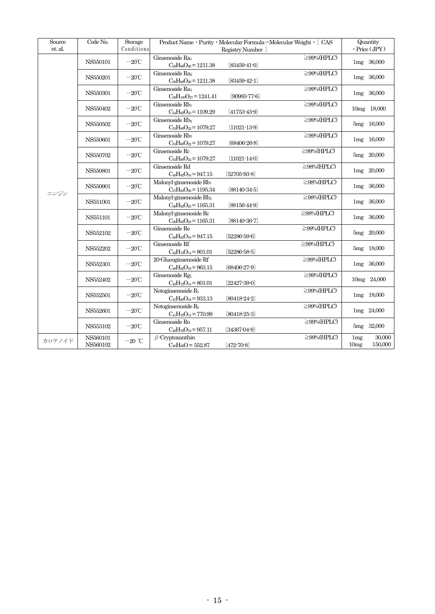| Source<br>et. al. | Code No.       | Storage<br>Conditions     | Product Name • Purity • Molecular Formula=Molecular Weight • [ CAS |                    |                  |                                                                                                                                                                                                                                                                                                                |  |
|-------------------|----------------|---------------------------|--------------------------------------------------------------------|--------------------|------------------|----------------------------------------------------------------------------------------------------------------------------------------------------------------------------------------------------------------------------------------------------------------------------------------------------------------|--|
|                   |                |                           |                                                                    | Registry Number ]  |                  |                                                                                                                                                                                                                                                                                                                |  |
|                   | NS550101       | $-20^{\circ}$ C           | Ginsenoside Ra                                                     |                    | $\geq$ 99%(HPLC) |                                                                                                                                                                                                                                                                                                                |  |
|                   |                |                           | $C_{58}H_{98}O_{26}=1211.38$<br>Ginsenoside Ra2                    | $[83459-41-0]$     |                  |                                                                                                                                                                                                                                                                                                                |  |
|                   | NS550201       | $-20^{\circ}$ C           | $C_{58}H_{98}O_{26}=1211.38$                                       | $[83459-42-1]$     | $\geq$ 99%(HPLC) |                                                                                                                                                                                                                                                                                                                |  |
|                   |                |                           | Ginsenoside Ras                                                    |                    | $\geq$ 99%(HPLC) | Quantity<br>$\cdot$ Price (JPY)<br>1mg 36,000<br>1mg 36,000<br>1mg 36,000<br>10mg 18,000<br>5mg 16,000<br>1mg 16,000<br>5mg 20,000<br>1mg 20,000<br>1mg 36,000<br>1mg 36,000<br>1mg 36,000<br>5mg 20,000<br>5mg 18,000<br>1mg 36,000<br>10mg 24,000<br>1mg 18,000<br>1mg 24,000<br>5mg 32,000<br>30,000<br>1mg |  |
|                   | NS550301       | $-20^{\circ}\!{\rm C}$    | $C_{59}H_{100}O_{27} = 1241.41$                                    | $[90985 - 77 - 6]$ |                  |                                                                                                                                                                                                                                                                                                                |  |
|                   |                |                           | Ginsenoside Rb1                                                    |                    | $\geq$ 99%(HPLC) |                                                                                                                                                                                                                                                                                                                |  |
|                   | NS550402       | $-20^{\circ}$ C           | $C_{54}H_{92}O_{23} = 1109.29$                                     | $(41753 - 43 - 9)$ |                  |                                                                                                                                                                                                                                                                                                                |  |
|                   |                |                           | Ginsenoside Rb <sub>2</sub>                                        |                    | $\geq$ 99%(HPLC) |                                                                                                                                                                                                                                                                                                                |  |
|                   | NS550502       | $-20^{\circ}$ C           | $C_{53}H_{90}O_{22} = 1079.27$                                     | $(11021 - 13 - 9)$ |                  |                                                                                                                                                                                                                                                                                                                |  |
|                   |                |                           | Ginsenoside Rb <sub>3</sub>                                        |                    | $\geq$ 99%(HPLC) |                                                                                                                                                                                                                                                                                                                |  |
|                   | NS550601       | $-20^{\circ}$ C           | $C_{53}H_{90}O_{22} = 1079.27$                                     | $[68406-26-8]$     |                  |                                                                                                                                                                                                                                                                                                                |  |
|                   | NS550702       | $-20^{\circ}$ C           | Ginsenoside Rc                                                     |                    | $\geq$ 99%(HPLC) |                                                                                                                                                                                                                                                                                                                |  |
|                   |                |                           | $C_{53}H_{90}O_{22} = 1079.27$                                     | $(11021 - 14 - 0)$ |                  |                                                                                                                                                                                                                                                                                                                |  |
| ニンジン              | NS550801       | $-20^{\circ}$ C           | Ginsenoside Rd                                                     |                    | $\geq$ 98%(HPLC) |                                                                                                                                                                                                                                                                                                                |  |
|                   |                |                           | $C_{48}H_{82}O_{18}=947.15$                                        | $[52705-93-8]$     |                  |                                                                                                                                                                                                                                                                                                                |  |
|                   | NS550901       | $-20^{\circ}\!{\rm C}$    | Malonyl-ginsenoside Rb1                                            |                    | $\geq$ 98%(HPLC) |                                                                                                                                                                                                                                                                                                                |  |
|                   |                |                           | $C_{57}H_{94}O_{26}=1195.34$                                       | $[88140-34-5]$     |                  |                                                                                                                                                                                                                                                                                                                |  |
|                   | NS551001       | $-20^{\circ}$ C           | Malonyl-ginsenoside Rb2                                            |                    | $\geq$ 98%(HPLC) |                                                                                                                                                                                                                                                                                                                |  |
|                   |                |                           | $C_{56}H_{92}O_{25}=1165.31$                                       | $[88156-44-9]$     |                  |                                                                                                                                                                                                                                                                                                                |  |
|                   | NS551101       | $-20^{\circ}$ C           | Malonyl-ginsenoside Rc                                             |                    | $\geq$ 98%(HPLC) |                                                                                                                                                                                                                                                                                                                |  |
|                   |                |                           | $C_{56}H_{92}O_{25}=1165.31$<br>Ginsenoside Re                     | $[88140-36-7]$     | $\geq$ 99%(HPLC) |                                                                                                                                                                                                                                                                                                                |  |
|                   | NS552102       | $-20^{\circ}$ C           | $C_{48}H_{82}O_{18}=947.15$                                        | [52286 59.6]       |                  |                                                                                                                                                                                                                                                                                                                |  |
|                   |                |                           | Ginsenoside Rf                                                     |                    | $\geq$ 99%(HPLC) |                                                                                                                                                                                                                                                                                                                |  |
|                   | NS552202       | $-20^{\circ}$ C           | $C_{42}H_{72}O_{14}=801.01$                                        | $[5228658-5]$      |                  |                                                                                                                                                                                                                                                                                                                |  |
|                   |                |                           | 20-Glucoginsenoside Rf                                             |                    | $\geq$ 99%(HPLC) |                                                                                                                                                                                                                                                                                                                |  |
|                   | NS552301       | $-20^{\circ}$ C           | $C_{48}H_{82}O_{19} = 963.15$                                      | $(68406-27-9)$     |                  |                                                                                                                                                                                                                                                                                                                |  |
|                   |                |                           | Ginsenoside Rg1                                                    |                    | $\geq$ 99%(HPLC) |                                                                                                                                                                                                                                                                                                                |  |
|                   | $\rm NS552402$ | $-20^{\circ}$ C           | $C_{42}H_{72}O_{14}=801.01$                                        | $[22427-39-0]$     |                  |                                                                                                                                                                                                                                                                                                                |  |
|                   |                |                           | Notoginsenoside R <sub>1</sub>                                     |                    | $\geq$ 99%(HPLC) |                                                                                                                                                                                                                                                                                                                |  |
|                   | NS552501       | $-20^{\circ}\!{\rm C}$    | $C_{47}H_{80}O_{18}=933.13$                                        | $[80418-24-2]$     |                  |                                                                                                                                                                                                                                                                                                                |  |
|                   | NS552601       | $-20^{\circ}\!{\rm C}$    | Notoginsenoside R <sub>2</sub>                                     |                    | $\geq$ 99%(HPLC) |                                                                                                                                                                                                                                                                                                                |  |
|                   |                |                           | $C_{41}H_{70}O_{13} = 770.99$                                      | $[80418-25-3]$     |                  |                                                                                                                                                                                                                                                                                                                |  |
|                   | NS553102       | $-20^{\circ}\!{\rm C}$    | Ginsenoside Ro                                                     |                    | $\geq$ 99%(HPLC) |                                                                                                                                                                                                                                                                                                                |  |
|                   |                |                           | $C_{48}H_{76}O_{19}=957.11$                                        | $[34367-04-9]$     |                  |                                                                                                                                                                                                                                                                                                                |  |
| カロテノイド            | NS560101       | $-20$ $^{\circ}\!{\rm C}$ | $\beta$ -Cryptoxanthin                                             |                    | $\geq$ 99%(HPLC) |                                                                                                                                                                                                                                                                                                                |  |
|                   | NS560102       |                           | $C_{40}H_{56}O = 552.87$                                           | $[472 - 70 - 8]$   |                  | 150,000<br>10mg                                                                                                                                                                                                                                                                                                |  |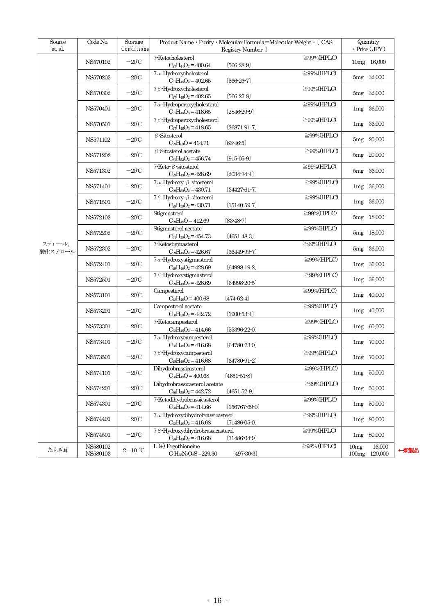| Source            | Code No.             | Storage                | Product Name • Purity • Molecular Formula=Molecular Weight • [ CAS                                               | Quantity                           |
|-------------------|----------------------|------------------------|------------------------------------------------------------------------------------------------------------------|------------------------------------|
| et. al.           |                      | Conditions             | Registry Number ]                                                                                                | $\cdot$ Price (JPY)                |
|                   | NS570102             | $-20^{\circ}$ C        | 7-Ketocholesterol<br>$\geq$ 99%(HPLC)<br>$C_{27}H_{44}O_2 = 400.64$<br>$[566-28-9]$                              | 10mg 16,000                        |
|                   | NS570202             | $-20^{\circ}$ C        | $7\alpha$ -Hydroxycholesterol<br>$\geq$ 99%(HPLC)<br>$C_{27}H_{46}O_2 = 402.65$<br>$(566-26-7)$                  | 5mg 32,000                         |
|                   | NS570302             | $-20^{\circ}$ C        | $7\beta$ -Hydroxycholesterol<br>$\geq$ 99%(HPLC)                                                                 | 5mg 32,000                         |
|                   |                      |                        | $C_{27}H_{46}O_2 = 402.65$<br>$[566-27-8]$<br>$7\alpha$ -Hydroperoxycholesterol<br>$\geq$ 99%(HPLC)              |                                    |
|                   | NS570401             | $-20^{\circ}$ C        | $C_{27}H_{46}O_3 = 418.65$<br>$[2846-29-9]$                                                                      | 1mg 36,000                         |
|                   | NS570501             | $-20^{\circ}$ C        | 7β-Hydroperoxycholesterol<br>$\geq$ 99%(HPLC)<br>$C_{27}H_{46}O_3 = 418.65$<br>$(36871 - 91 - 7)$                | 1mg 36,000                         |
|                   | NS571102             | $-20^{\circ}$ C        | $\beta$ -Sitosterol<br>$\geq$ 99%(HPLC)<br>$C_{29}H_{50}O = 414.71$<br>$[83 - 46 - 5]$                           | 5mg 20,000                         |
|                   | NS571202             | $-20^{\circ}$ C        | $\geq$ 99%(HPLC)<br>$\beta$ -Sitosterol acetate<br>$C_{31}H_{52}O_2 = 456.74$<br>$(915-05-9)$                    | 5mg 20,000                         |
|                   | NS571302             | $-20^{\circ}$ C        | $7$ -Keto- $\beta$ -sitosterol<br>$\geq$ 99%(HPLC)<br>$C_{29}H_{48}O_2 = 428.69$<br>$[2034 - 74 - 4]$            | 5mg 36,000                         |
|                   | NS571401             | $-20^{\circ}$ C        | $7 \alpha$ -Hydroxy- $\beta$ -sitosterol<br>$\geq$ 99%(HPLC)<br>$C_{29}H_{50}O_2 = 430.71$<br>$[34427 - 61 - 7]$ | 1mg 36,000                         |
|                   | NS571501             | $-20^{\circ}$ C        | 7 $\beta$ -Hydroxy- $\beta$ -sitosterol<br>$\geq$ 99%(HPLC)<br>$C_{29}H_{50}O_2 = 430.71$<br>$(15140-59-7)$      | 1mg 36,000                         |
| ステロール、<br>酸化ステロール | NS572102             | $-20^{\circ}$ C        | Stigmasterol<br>$\geq$ 99%(HPLC)<br>$C_{29}H_{48}O = 412.69$<br>$[83 - 48 - 7]$                                  | 5mg 18,000                         |
|                   | NS572202             | $-20^{\circ}$ C        | Stigmasterol acetate<br>$\geq$ 99%(HPLC)<br>$C_{31}H_{50}O_2 = 454.73$<br>$(4651 - 48 - 3)$                      | 5mg 18,000                         |
|                   | NS572302             | $-20^{\circ}$ C        | 7-Ketostigmasterol<br>$\geq$ 99%(HPLC)<br>$C_{29}H_{46}O_2 = 426.67$<br>$[36449-99-7]$                           | 5mg 36,000                         |
|                   | NS572401             | $-20^{\circ}$ C        | $7\alpha$ -Hydroxystigmasterol<br>$\geq$ 99%(HPLC)                                                               | 1mg 36,000                         |
|                   | NS572501             | $-20^{\circ}$ C        | $C_{29}H_{48}O_2 = 428.69$<br>$[64998-19-2]$<br>$\geq$ 99%(HPLC)<br>$7 \beta$ -Hydroxystigmasterol               | 1mg 36,000                         |
|                   |                      |                        | $C_{29}H_{48}O_2 = 428.69$<br>$[64998-20-5]$<br>Campesterol<br>$\geq$ 99%(HPLC)                                  |                                    |
|                   | NS573101             | $-20^{\circ}\!{\rm C}$ | $C_{28}H_{48}O = 400.68$<br>$(474-62-4)$                                                                         | $1mg$ 40,000                       |
|                   | NS573201             | $-20^{\circ}$ C        | Campesterol acetate<br>$\geq$ 99%(HPLC)<br>$C_{30}H_{50}O_2 = 442.72$<br>$(1900-53-4)$                           | 1mg 40,000                         |
|                   | NS573301             | $-20^{\circ}$ C        | 7-Ketocampesterol<br>$\geq$ 99%(HPLC)<br>$C_{28}H_{46}O_2 = 414.66$<br>$(55396-22-0)$                            | $1mg$ 60,000                       |
|                   | NS573401             | $-20^{\circ}$ C        | $7\alpha$ -Hydroxycampesterol<br>$\geq$ 99%(HPLC)<br>$C_{28}H_{48}O_2 = 416.68$<br>$[64780 - 73 - 0]$            | 1mg 70,000                         |
|                   | NS573501             | $-20^{\circ}$ C        | $\geq$ 99%(HPLC)<br>$7 \beta$ -Hydroxycampesterol<br>$[64780-91-2]$<br>$C_{28}H_{48}O_2 = 416.68$                | 1mg 70,000                         |
|                   | NS574101             | $-20^{\circ}$ C        | $\geq$ 99%(HPLC)<br>Dihydrobrassicasterol<br>$C_{28}H_{48}O = 400.68$<br>$(4651 - 51 - 8)$                       | $1mg$ 50,000                       |
|                   | NS574201             | $-20^{\circ}$ C        | $\geq$ 99%(HPLC)<br>Dihydrobrassicasterol acetate<br>$(4651 - 52 - 9)$<br>$C_{30}H_{50}O_2 = 442.72$             | $1mg$ 50,000                       |
|                   | NS574301             | $-20^{\circ}$ C        | 7-Ketodihydrobrassicasterol<br>$\geq$ 99%(HPLC)<br>$C_{28}H_{46}O_2 = 414.66$<br>$(156767 - 69 - 0)$             | $1mg$ 50,000                       |
|                   | NS574401             | $-20^{\circ}$ C        | $7\alpha$ -Hydroxydihydrobrassicasterol<br>$\geq$ 99%(HPLC)<br>$C_{28}H_{48}O_2 = 416.68$<br>$(71486-05-0)$      | 1mg 80,000                         |
|                   | NS574501             | $-20^{\circ}$ C        | $7 \beta$ -Hydroxydihydrobrassicasterol<br>$\geq$ 99%(HPLC)<br>$(71486 - 04 - 9)$<br>$C_{28}H_{48}O_2 = 416.68$  | 1mg 80,000                         |
| たもぎ茸              | NS580102<br>NS580103 | $2-10$ °C              | $\geq$ 98% (HPLC)<br>$L^{(+)}$ Ergothioneine<br>$C_9H_{15}N_3O_2S = 229.30$<br>$(497-30-3)$                      | 16,000<br>10mg<br>100mg<br>120,000 |
|                   |                      |                        |                                                                                                                  |                                    |

←新製品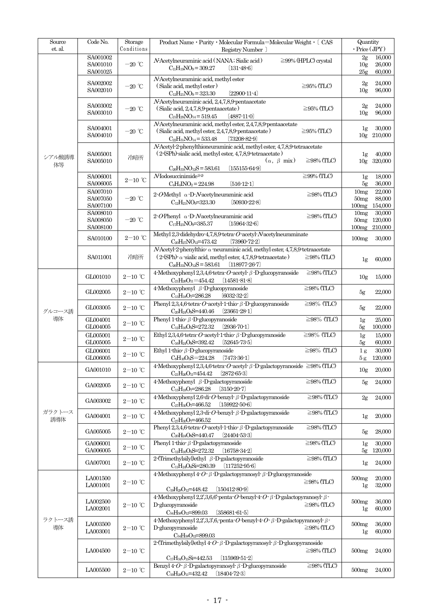| Source<br>et. al. | Code No.                         | Storage<br>Conditions                  | Product Name • Purity • Molecular Formula=Molecular Weight • [ CAS<br>Registry Number                                                                                                                                                 | Quantity<br>$\cdot$ Price (JPY) |                                     |                              |
|-------------------|----------------------------------|----------------------------------------|---------------------------------------------------------------------------------------------------------------------------------------------------------------------------------------------------------------------------------------|---------------------------------|-------------------------------------|------------------------------|
|                   | SA001002<br>SA001010<br>SA001025 | $-20\ ^{\circ}\!{\rm C}$               | N-Acetylneuraminic acid (NANA; Sialic acid)<br>$C_{11}H_{19}NO_9 = 309.27$<br>$(131 - 48 - 6)$                                                                                                                                        | $\geq$ 99% (HPLC) crystal       | 2g<br>10 <sub>g</sub><br>25g        | 16,000<br>26,000<br>60,000   |
|                   | SA002002<br>SA002010             | $-20$ °C                               | N-Acetylneuraminic acid, methyl ester<br>(Sialic acid, methyl ester)<br>$C_{12}H_{21}NO_9 = 323.30$<br>$(22900-11-4)$                                                                                                                 | $\geq$ 95% (TLC)                | 2g<br>10 <sub>g</sub>               | 24,000<br>96,000             |
|                   | SA003002<br>SA003010             | $-20$ °C                               | N-Acetylneuraminic acid, 2,4,7,8,9-pentaacetate<br>(Sialic acid, 2,4,7,8,9-pentaacetate)<br>$C_{21}H_{29}NO_{14}=519.45$<br>$[4887 - 11 - 0]$                                                                                         | $\geq$ 95% (TLC)                | 2g<br>10 <sub>g</sub>               | 24,000<br>96,000             |
|                   | SA004001<br>SA004010             | $-20$ °C                               | N-Acetylneuraminic acid, methyl ester, 2,4,7,8,9 pentaacetate<br>(Sialic acid, methyl ester, 2,4,7,8,9-pentaacetate)<br>$C_{22}H_{31}NO_{14}=533.48$<br>$(73208 - 82 - 9)$                                                            | $\geq$ 95% (TLC)                | 1g                                  | 30,000<br>10g 210,000        |
| シアル酸誘導            | SA005001<br>SA005010             | 冷暗所                                    | N-Acetyl-2-phenylthioneuraminic acid, methyl ester, 4,7,8,9-tetraacetate<br>(2-(SPh)-sialic acid, methyl ester, 4,7,8,9 tetraacetate)<br>$(\alpha, \beta \text{ mix})$                                                                | $\geq$ 98% (TLC)                | 1g<br>10g                           | 40,000<br>320,000            |
| 体等                | SA006001<br>SA006005             | $2\mathrm{-}10\ ^{\circ}\!\mathrm{C}$  | $C_{26}H_{33}NO_{12}S = 583.61$<br>$(155155-64-9)$<br>$N$ Iodosuccinimide <sup>1)-2)</sup><br>$C_4H_4NO_2 = 224.98$<br>$[516-12-1]$                                                                                                   | $\geq$ 99% (TLC)                | 1 <sub>g</sub><br>5g                | 18,000<br>36,000             |
|                   | SA007010<br>SA007050<br>SA007100 | $-20$ °C                               | $2$ -OMethyl $\alpha$ -D-Nacetylneuraminic acid<br>$C_{12}H_{21}NO_9=323.30$<br>$[50930-22-8]$                                                                                                                                        | $\geq$ 98% (TLC)                | 10mg<br>50mg<br>100mg               | 22,000<br>88,000<br>154,000  |
|                   | SA008010<br>SA008050<br>SA008100 | $-20$ °C                               | $2$ -OPhenyl $\alpha$ -D-Nacetylneuraminic acid<br>$C_{17}H_{23}NO_9=385.37$<br>$[15964-32-6]$                                                                                                                                        | $\geq$ 98% (TLC)                | 10mg<br>50 <sub>mg</sub><br>100mg   | 30,000<br>120,000<br>210,000 |
|                   | SA010100                         | $2-10$ ℃                               | Methyl 2,3-didehydro-4,7,8,9-tetra-O-acetyl-N-acetylneuraminate<br>$C_{20}H_{27}NO_{12}=473.42$<br>$(73960 - 72 - 2)$                                                                                                                 |                                 | 100mg                               | 30,000                       |
|                   | SA011001                         | 冷暗所                                    | $N$ Acetyl-2-phenylthio- $\alpha$ -neuraminic acid, methyl ester, 4,7,8,9-tetraacetate<br>$(2\text{-}\text{SPh})$ $\alpha$ sialic acid, methyl ester, 4,7,8,9 tetraacetate)<br>$C_{26}H_{33}NO_{12}S = 583.61$<br>$(118977 - 26 - 7)$ | $\geq$ 98% (TLC)                | 1g                                  | 60,000                       |
|                   | GL001010                         | $2-10$ ℃                               | 4-Methoxyphenyl 2,3,4,6-tetra- $O$ -acetyl- $\beta$ -D-glucopyranoside<br>$C_{21}H_{26}O_{11}=454.42$<br>$[14581-81-8]$                                                                                                               | $\geq$ 98% (TLC)                | 10 <sub>g</sub>                     | 15,000                       |
| グルコース誘            | $\mathcal{G}\text{LO}02005$      | $2\text{--}10\text{ }^{\circ}\text{C}$ | 4-Methoxyphenyl $\beta$ -D-glucopyranoside<br>$[6032-32-2]$<br>$C_{13}H_{18}O = 286.28$                                                                                                                                               | $\geq$ 98% (TLC)                | 5g                                  | 22,000                       |
|                   | GL003005                         | $2\mathrm{-}10$ $^\circ\!\mathrm{C}$   | Phenyl 2,3,4,6 tetra $O$ acetyl 1 thio $\beta$ D glucopyranoside<br>$(23661 - 28 - 1)$<br>C <sub>20</sub> H <sub>24</sub> O <sub>9</sub> S=440.46                                                                                     | $\geq$ 98% (TLC)                | 5g                                  | 22,000                       |
| 導体                | GL004001<br>GL004005             | $2\mathrm{-}10\ ^{\circ}\mathrm{C}$    | Phenyl 1-thio- $\beta$ -D-glucopyranoside<br>$\rm{C}_{12}H_{16}O_5S\!\!=\!\!272.32$<br>$[2936-70-1]$                                                                                                                                  | $\geq$ 98% (TLC)                | 1g<br>5g                            | 25,000<br>100,000            |
|                   | GL005001<br>GL005005             | $2\mathrm{-}10\ ^{\circ}\mathrm{C}$    | Ethyl 2,3,4,6 tetra $O$ acetyl 1 thio $\beta$ D glucopyranoside<br>C <sub>16</sub> H <sub>24</sub> O <sub>9</sub> S=392.42<br>$[52645-73-5]$                                                                                          | $\geq$ 98% (TLC)                | 1 <sub>g</sub><br>5g                | 15,000<br>60,000             |
|                   | GL006001<br>GL006005             | $2\mathrm{-}10\ ^{\circ}\mathrm{C}$    | Ethyl 1-thio- $\beta$ -D-glucopyranoside<br>C <sub>8</sub> H <sub>16</sub> O <sub>5</sub> S=224.28<br>$(7473-36-1)$                                                                                                                   | $\geq$ 98% (TLC)                | 1 <sub>g</sub><br>5g                | 30,000<br>120,000            |
|                   | GA001010                         | $2\text{--}10\text{ }^{\circ}\text{C}$ | 4-Methoxyphenyl 2,3,4,6 tetra O-acetyl $\beta$ -D-galactopyranoside $\geq$ 98% (TLC)<br>$C_{21}H_{26}O_{11}=454.42$<br>$[2872 - 65 - 3]$                                                                                              |                                 | 10 <sub>g</sub>                     | 20,000                       |
|                   | GA002005                         | $2\mathrm{-}10$ $^\circ\!\mathrm{C}$   | 4-Methoxyphenyl $\beta$ -D-galactopyranoside<br>$C_{13}H_{18}O = 286.28$<br>$(3150-20-7)$                                                                                                                                             | $\geq$ 98% (TLC)                | 5g                                  | 24,000                       |
|                   | GA003002                         | $2\text{--}10\text{ }^{\circ}\text{C}$ | 4-Methoxyphenyl 2,6-di- $O$ -benzyl- $\beta$ -D-galactopyranoside<br>$C_{27}H_{30}O=466.52$<br>$(159922 - 50 - 6)$                                                                                                                    | $\geq$ 98% (TLC)                | 2g                                  | 24,000                       |
| ガラクトース<br>誘導体     | GA004001                         | $2\text{--}10\text{ }^{\circ}\text{C}$ | 4-Methoxyphenyl 2,3-di-O-benzyl- $\beta$ -D-galactopyranoside<br>$C_{27}H_{30}O=466.52$                                                                                                                                               | $\geq$ 98% (TLC)                | 1g                                  | 20,000                       |
|                   | GA005005                         | $2-10$ °C                              | Phenyl 2,3,4,6 tetra $O$ acetyl 1 thio $\beta$ D galactopyranoside<br>$C_{20}H_{24}O_9S=440.47$<br>$[24404-53-3]$                                                                                                                     | $\geq$ 98% (TLC)                | 5g                                  | 28,000                       |
|                   | GA006001<br>GA006005             | $2\text{--}10\text{ }^{\circ}\text{C}$ | Phenyl 1-thio- $\beta$ -D-galactopyranoside<br>$C_{12}H_{16}O_5S=272.32$<br>$(16758-34-2)$                                                                                                                                            | $\geq$ 98% (TLC)                | 1g<br>5g                            | 30,000<br>120,000            |
|                   | $\rm GA007001$                   | $2\text{--}10\text{ }^{\circ}\text{C}$ | 2-(Trimethylsilyl)ethyl $\beta$ -D-galactopyranoside<br>$C_{11}H_{24}O_6Si=280.39$<br>(117252.95.6)                                                                                                                                   | $\geq$ 98% (TLC)                | 1g                                  | 24,000                       |
|                   | LA001500<br>LA001001             | $2\mathrm{-}10$ $^{\circ}\!\mathrm{C}$ | 4-Methoxyphenyl 4- $O$ - $\beta$ -D-galactopyranosyl- $\beta$ -D-glucopyranoside<br>$C_{19}H_{28}O_{12}=448.42$<br>$(150412 - 80 - 9)$                                                                                                | $\geq$ 98% (TLC)                | 500 <sub>mg</sub><br>1 <sub>g</sub> | 20,000<br>32,000             |
|                   | LA002500<br>LA002001             | $2-10$ ℃                               | 4-Methoxyphenyl 2,2,3,6,6 penta- $O$ -benzyl-4- $O$ - $\beta$ -D-galactopyranosyl- $\beta$ -<br>D-glucopyranoside<br>$(358681 - 61 - 5)$<br>$C_{54}H_{58}O_{12}=899.03$                                                               | $\geq$ 98% (TLC)                | 500 <sub>mg</sub><br>1g             | 36,000<br>60,000             |
| ラクトース誘<br>導体      | LA003500<br>LA003001             | $2\mathrm{-}10$ $^\circ\!\mathrm{C}$   | 4-Methoxyphenyl 2,2,3,3,6, penta- $O$ -benzyl-4- $O$ - $\beta$ -D-galactopyranosyl- $\beta$ -<br>D-glucopyranoside<br>$C_{54}H_{58}O_{12}=899.03$                                                                                     | $\geq$ 98% (TLC)                | 500 <sub>mg</sub><br>1g             | 36,000<br>60,000             |
|                   | LA004500                         | $2\text{--}10\text{ }^{\circ}\text{C}$ | 2-(Trimethylsilyl)ethyl 4- $O$ - $\beta$ -D-galactopyranosyl- $\beta$ -D-glucopyranoside<br>$C_{17}H_{34}O_{11}Si=442.53$<br>$(115969 - 51 - 2)$                                                                                      | $\geq$ 98% (TLC)                | 500 <sub>mg</sub>                   | 24,000                       |
|                   | LA005500                         | $2\text{--}10\text{ }^{\circ}\text{C}$ | Benzyl 4-O- $\beta$ -D-galactopyranosyl- $\beta$ -D-glucopyranoside<br>$C_{19}H_{28}O_{11}=432.42$<br>$[18404 - 72 - 3]$                                                                                                              | $\geq$ 98% (TLC)                | 500 <sub>mg</sub>                   | 24,000                       |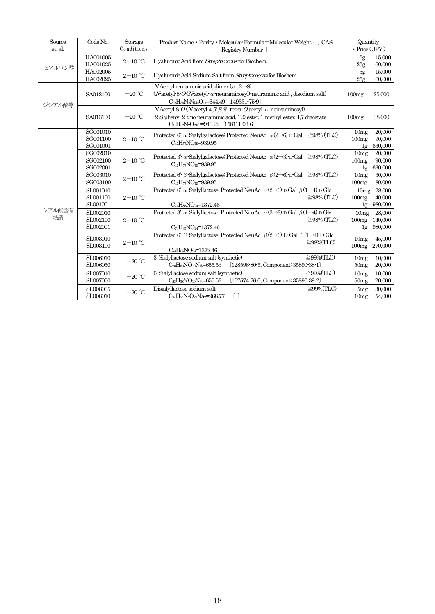| Source  | Code No.                                        | Storage                             | Product Name • Purity • Molecular Formula=Molecular Weight • [ CAS                                                                                        | Quantity            |                                                                                                                                                                                                                   |
|---------|-------------------------------------------------|-------------------------------------|-----------------------------------------------------------------------------------------------------------------------------------------------------------|---------------------|-------------------------------------------------------------------------------------------------------------------------------------------------------------------------------------------------------------------|
| et. al. |                                                 | Conditions                          | Registry Number ]                                                                                                                                         | $\cdot$ Price (JPY) |                                                                                                                                                                                                                   |
|         | HA001005                                        | $2-10$ °C                           | Hyaluronic Acid from Streptococcus for Biochem.                                                                                                           | 5g                  | 15,000                                                                                                                                                                                                            |
| ヒアルロン酸  | HA001025                                        |                                     |                                                                                                                                                           | 25 <sub>g</sub>     | 60,000                                                                                                                                                                                                            |
|         | HA002005<br>HA002025                            | $2-10$ °C                           | Hyaluronic Acid Sodium Salt from Streptococcus for Biochem.                                                                                               | $5g$                | 15,000<br>60,000                                                                                                                                                                                                  |
|         |                                                 |                                     |                                                                                                                                                           | 25 <sub>g</sub>     |                                                                                                                                                                                                                   |
|         | SA012100                                        | $-20\ ^\circ\text{C}$               | <i>N</i> -Acetylneuraminic acid, dimer $(\alpha, 2\rightarrow 8)$<br>$(N$ acetyl-8- $O(N$ acetyl- $\alpha$ -neuraminosyl)-neuraminic acid, disodium salt) |                     |                                                                                                                                                                                                                   |
|         |                                                 |                                     | C <sub>22</sub> H <sub>34</sub> N <sub>2</sub> Na <sub>2</sub> O <sub>17</sub> =644.49 [149331-75-9]                                                      | 100mg               | 25,000                                                                                                                                                                                                            |
| ジシアル酸等  |                                                 |                                     |                                                                                                                                                           |                     |                                                                                                                                                                                                                   |
|         |                                                 | $-20\ ^\circ\text{C}$               | $N$ Acetyl 8 $O(N$ acetyl 4', 7', 8', 9', tetra $O$ acetyl $\alpha$ neuraminosyl)                                                                         |                     |                                                                                                                                                                                                                   |
|         | SA013100                                        |                                     | -2-S-phenyl-2-thio-neuraminic acid, 1',9-ester, 1-methyl-ester, 4,7-diacetate<br>$C_{41}H_{52}N_2O_{21}S=940.92$ (158111-03-6)                            | 100mg               | 38,000                                                                                                                                                                                                            |
|         | SG001010                                        |                                     |                                                                                                                                                           | 10mg                | 20,000                                                                                                                                                                                                            |
|         | SG001100                                        | $2\mathrm{-}10\ ^{\circ}\mathrm{C}$ | Protected 6 <sup>2</sup> $\alpha$ Sialylgalactose; Protected NeuAc $\alpha$ (2-36) D Gal $\geq$ 98% (TLC)                                                 |                     |                                                                                                                                                                                                                   |
|         | SG001001                                        |                                     | C <sub>47</sub> H <sub>57</sub> NO <sub>19</sub> =939.95                                                                                                  |                     |                                                                                                                                                                                                                   |
|         | SG002010                                        |                                     |                                                                                                                                                           |                     |                                                                                                                                                                                                                   |
|         | SG002100<br>$2\mathrm{-}10\ ^{\circ}\mathrm{C}$ |                                     | Protected 3' $\alpha$ Sialvlgalactose; Protected NeuAc $\alpha$ (2-3) D Gal $\geq$ 98% (TLC)                                                              |                     |                                                                                                                                                                                                                   |
|         | SG002001                                        |                                     | $C_{47}H_{57}NO_{19}=939.95$                                                                                                                              | 1g                  | 630,000                                                                                                                                                                                                           |
|         | SG003010                                        | $2-10$ °C                           | Protected 6 c $\beta$ Sialylgalactose; Protected NeuAc $\beta$ (2-8) D Gal $\geq$ 98% (TLC)                                                               | 10mg                | 30,000                                                                                                                                                                                                            |
|         | SG003100                                        |                                     | C <sub>47</sub> H <sub>57</sub> NO <sub>19</sub> =939.95                                                                                                  | 100mg               | 180,000                                                                                                                                                                                                           |
|         | SL001010                                        |                                     | Protected 6'- $\alpha$ -Sialyllactose; Protected NeuAc $\alpha$ (2-36)-D-Gal- $\beta$ (1-34)-D-Glc                                                        |                     |                                                                                                                                                                                                                   |
|         | SL001100<br>$2-10$ °C                           |                                     | $\geq$ 98% (TLC)                                                                                                                                          | 100mg               | 140,000                                                                                                                                                                                                           |
|         | SL001001                                        |                                     | 1g                                                                                                                                                        | 980,000             |                                                                                                                                                                                                                   |
| シアル酸含有  | SL002010                                        |                                     | Protected 3'- $\alpha$ -Sialyllactose; Protected NeuAc $\alpha$ (2-3)-D-Gal- $\beta$ (1-3)-D-Glc                                                          | 10mg                | 28,000                                                                                                                                                                                                            |
| 糖鎖      | SL002100                                        | $2-10$ °C                           | $\geq$ 98% (TLC)                                                                                                                                          | 100mg               | 140,000                                                                                                                                                                                                           |
|         | SL002001                                        |                                     | $C_{74}H_{85}NO_{24}=1372.46$                                                                                                                             | 1g                  | 980,000                                                                                                                                                                                                           |
|         | SL003010                                        |                                     | Protected 6 - $\beta$ -Sialyllactose; Protected NeuAc $\beta$ (2-36) D-Gal $\beta$ (1-34) D-Glc                                                           |                     |                                                                                                                                                                                                                   |
|         | SL003100                                        | $2\mathrm{-}10\ ^{\circ}\mathrm{C}$ | $\geq$ 98%(TLC)                                                                                                                                           |                     |                                                                                                                                                                                                                   |
|         |                                                 |                                     | $C_{74}H_{85}NO_{24}=1372.46$                                                                                                                             |                     |                                                                                                                                                                                                                   |
|         | SL006010                                        | $-20\ ^\circ\text{C}$               | 3'-Sialyllactose sodium salt (synthetic)<br>$\geq$ 99%(TLC)                                                                                               | 10 <sub>mg</sub>    | 10,000                                                                                                                                                                                                            |
|         | SL006050                                        |                                     | $C_{23}H_{38}NO_{19}Na = 655.53$<br>$(128596-80-5,$ Component: $35890-38-1)$                                                                              |                     |                                                                                                                                                                                                                   |
|         | SL007010                                        | $-20\ ^{\circ}\!{\rm C}$            | 6'-Sialyllactose sodium salt (synthetic)<br>$\geq$ 99%(TLC)                                                                                               | 10 <sub>mg</sub>    | 10,000                                                                                                                                                                                                            |
|         | SL007050                                        |                                     | $(157574-76-0,$ Component: $35890-39-2)$<br>$C_{23}H_{38}NO_{19}Na = 655.53$                                                                              | 50 <sub>mg</sub>    | 90,000<br>100mg<br>630,000<br>1g<br>10mg<br>20,000<br>100mg<br>90,000<br>10mg 28,000<br>45,000<br>10 <sub>mg</sub><br>100mg<br>270,000<br>20,000<br>50 <sub>mg</sub><br>20,000<br>30,000<br>5mg<br>10mg<br>54,000 |
|         | SL008005                                        | $-20\ ^\circ\text{C}$               | Disialyllactose sodium salt<br>$\geq$ 99%(TLC)                                                                                                            |                     |                                                                                                                                                                                                                   |
|         | SL008010                                        |                                     | $C_{34}H_{54}N_2O_{27}Na_2=968.77$<br>$\left[ \begin{array}{c} 1 \end{array} \right]$                                                                     |                     |                                                                                                                                                                                                                   |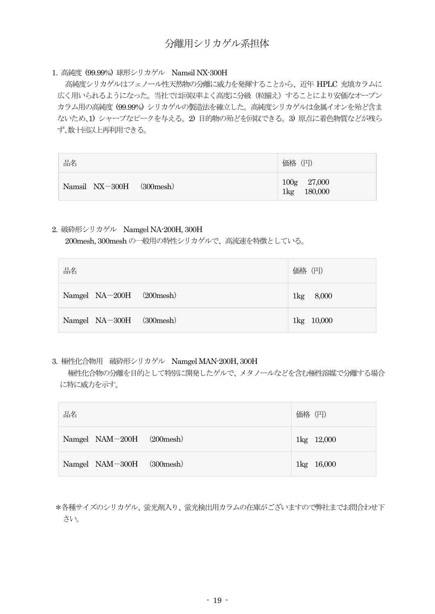#### 1. 高純度 (99.99%) 球形シリカゲル Namsil NX-300H

高純度シリカゲルはフェノール性天然物の分離に威力を発揮することから、近年 HPLC 充填カラムに 広く用いられるようになった。当社では回収率よく高度に分級(粒揃え)することにより安価なオープン カラム用の高純度 (99.99%) シリカゲルの製造法を確立した。高純度シリカゲルは金属イオンを殆ど含ま ないため、1) シャープなピークを与える。2) 目的物の殆どを回収できる。3) 原点に着色物質などが残ら ず、数十回以上再利用できる。

| 品名                                | 価格 (円)                                 |
|-----------------------------------|----------------------------------------|
| Namsil NX-300H<br>$(300$ mesh $)$ | 100g 27,000<br>180,000<br>$1\text{kg}$ |

#### 2. 破砕形シリカゲル Namgel NA-200H, 300H

200mesh, 300mesh の一般用の特性シリカゲルで、高流速を特徴としている。

| 品名                       | 価格 (円)     |
|--------------------------|------------|
| Namgel NA-200H (200mesh) | 1kg 8,000  |
| Namgel NA-300H (300mesh) | 1kg 10,000 |

#### 3. 極性化合物用 破砕形シリカゲル Namgel MAN-200H, 300H

極性化合物の分離を目的として特別に開発したゲルで、メタノールなどを含む極性溶媒で分離する場合 に特に威力を示す。

| 品名                        | 価格 (円)     |
|---------------------------|------------|
| Namgel NAM-200H (200mesh) | 1kg 12,000 |
| Namgel NAM-300H (300mesh) | 1kg 16,000 |

\*各種サイズのシリカゲル、蛍光剤入り、蛍光検出用カラムの在庫がございますので弊社までお問合わせ下 さい。